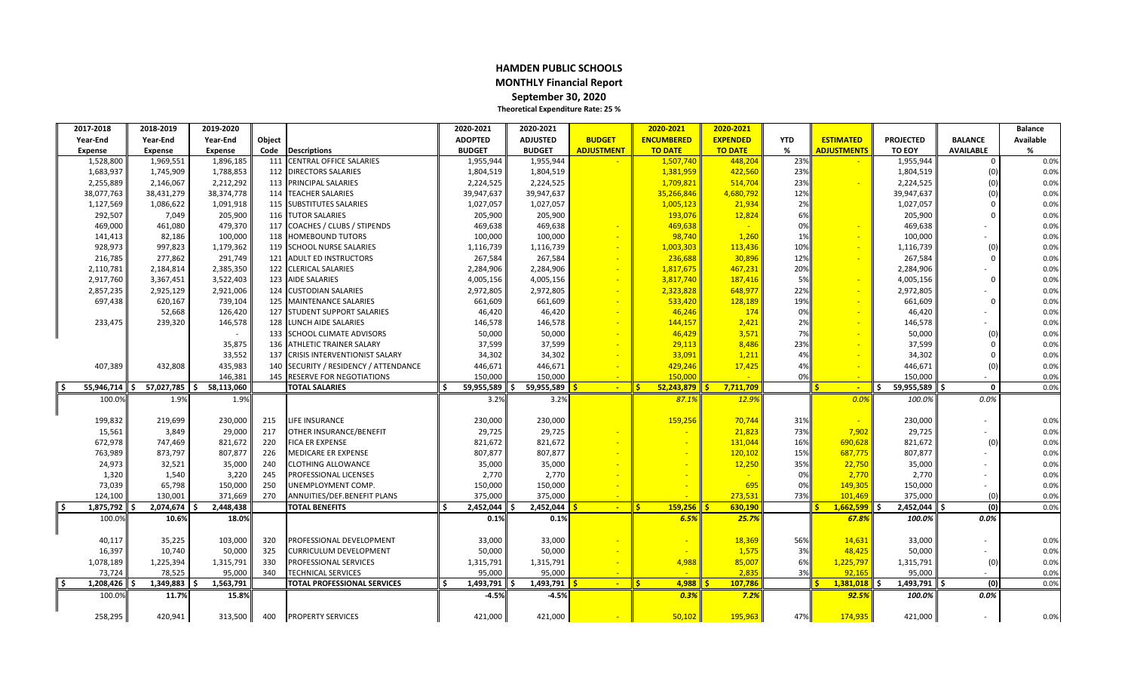#### **HAMDEN PUBLIC SCHOOLS MONTHLY Financial Report September 30, 2020 Theoretical Expenditure Rate: 25 %**

| 2017-2018         | 2018-2019      | 2019-2020         |        |                                       |    | 2020-2021      | 2020-2021       |                   | 2020-2021                     | 2020-2021       |            |                      |                    |                  | <b>Balance</b>   |
|-------------------|----------------|-------------------|--------|---------------------------------------|----|----------------|-----------------|-------------------|-------------------------------|-----------------|------------|----------------------|--------------------|------------------|------------------|
| Year-End          | Year-End       | Year-End          | Object |                                       |    | <b>ADOPTED</b> | <b>ADJUSTED</b> | <b>BUDGET</b>     | <b>ENCUMBERED</b>             | <b>EXPENDED</b> | <b>YTD</b> | <b>ESTIMATED</b>     | <b>PROJECTED</b>   | <b>BALANCE</b>   | <b>Available</b> |
| Expense           | <b>Expense</b> | Expense           | Code   | <b>Descriptions</b>                   |    | <b>BUDGET</b>  | <b>BUDGET</b>   | <b>ADJUSTMENT</b> | <b>TO DATE</b>                | <b>TO DATE</b>  | %          | <b>ADJUSTMENTS</b>   | TO EOY             | <b>AVAILABLE</b> | %                |
| 1,528,800         | 1,969,551      | 1,896,185         | 111    | <b>CENTRAL OFFICE SALARIES</b>        |    | 1,955,944      | 1,955,944       |                   | 1,507,740                     | 448,204         | 23%        |                      | 1,955,944          | $\Omega$         | 0.0%             |
| 1,683,937         | 1,745,909      | 1,788,853         |        | 112 DIRECTORS SALARIES                |    | 1,804,519      | 1,804,519       |                   | 1,381,959                     | 422,560         | 23%        |                      | 1,804,519          | (0)              | 0.0%             |
| 2,255,889         | 2,146,067      | 2,212,292         |        | 113 PRINCIPAL SALARIES                |    | 2,224,525      | 2,224,525       |                   | 1,709,821                     | 514,704         | 23%        |                      | 2,224,525          | (0)              | 0.0%             |
| 38,077,763        | 38,431,279     | 38,374,778        |        | 114 TEACHER SALARIES                  |    | 39,947,637     | 39,947,637      |                   | 35,266,846                    | 4,680,792       | 12%        |                      | 39,947,637         | (0)              | 0.0%             |
| 1,127,569         | 1,086,622      | 1,091,918         |        | 115 SUBSTITUTES SALARIES              |    | 1,027,057      | 1,027,057       |                   | 1,005,123                     | 21,934          | 2%         |                      | 1,027,057          | $\Omega$         | 0.0%             |
| 292,507           | 7,049          | 205,900           |        | <b>116 TUTOR SALARIES</b>             |    | 205,900        | 205,900         |                   | 193,076                       | 12,824          | 6%         |                      | 205,900            | $\Omega$         | 0.0%             |
| 469,000           | 461,080        | 479,370           |        | 117 COACHES / CLUBS / STIPENDS        |    | 469,638        | 469,638         |                   | 469,638                       |                 | 0%         |                      | 469,638            |                  | 0.0%             |
| 141,413           | 82,186         | 100,000           |        | 118 HOMEBOUND TUTORS                  |    | 100,000        | 100,000         |                   | 98,740                        | 1,260           | 1%         |                      | 100,000            |                  | 0.0%             |
| 928,973           | 997,823        | 1,179,362         |        | 119 SCHOOL NURSE SALARIES             |    | 1,116,739      | 1,116,739       |                   | 1,003,303                     | 113,436         | 10%        | ÷                    | 1,116,739          | (0)              | 0.0%             |
| 216,785           | 277,862        | 291,749           |        | 121 ADULT ED INSTRUCTORS              |    | 267,584        | 267,584         |                   | 236,688                       | 30,896          | 12%        |                      | 267,584            | $\cap$           | 0.0%             |
| 2,110,781         | 2,184,814      | 2,385,350         |        | 122 CLERICAL SALARIES                 |    | 2,284,906      | 2,284,906       |                   | 1,817,675                     | 467,231         | 20%        |                      | 2,284,906          |                  | 0.0%             |
| 2,917,760         | 3,367,451      | 3,522,403         |        | 123 AIDE SALARIES                     |    | 4,005,156      | 4,005,156       |                   | 3,817,740                     | 187,416         | 5%         |                      | 4,005,156          | $\cap$           | 0.0%             |
| 2,857,235         | 2,925,129      | 2,921,006         |        | 124 CUSTODIAN SALARIES                |    | 2,972,805      | 2,972,805       |                   | 2,323,828                     | 648,977         | 22%        |                      | 2,972,805          |                  | 0.0%             |
| 697,438           | 620,167        | 739,104           |        | 125 MAINTENANCE SALARIES              |    | 661,609        | 661,609         |                   | 533,420                       | 128,189         | 19%        |                      | 661,609            |                  | 0.0%             |
|                   | 52,668         | 126,420           |        | <b>127 ISTUDENT SUPPORT SALARIES</b>  |    | 46.420         | 46,420          |                   | 46,246                        | 174             | 0%         |                      | 46,420             |                  | 0.0%             |
| 233,475           | 239,320        | 146,578           |        | 128 LUNCH AIDE SALARIES               |    | 146,578        | 146,578         |                   | 144,157                       | 2,421           | 2%         |                      | 146,578            |                  | 0.0%             |
|                   |                |                   |        | 133 SCHOOL CLIMATE ADVISORS           |    | 50,000         | 50,000          |                   | 46,429                        | 3,571           | 7%         |                      | 50,000             | (0)              | 0.0%             |
|                   |                | 35,875            |        | 136 ATHLETIC TRAINER SALARY           |    | 37,599         | 37,599          |                   | 29,113                        | 8,486           | 23%        |                      | 37,599             | - 0              | 0.0%             |
|                   |                | 33,552            |        | 137 CRISIS INTERVENTIONIST SALARY     |    | 34,302         | 34,302          |                   | 33,091                        | 1,211           | 4%         |                      | 34,302             | $\Omega$         | 0.0%             |
| 407,389           | 432,808        | 435,983           |        | 140 SECURITY / RESIDENCY / ATTENDANCE |    | 446,671        | 446,671         |                   | 429,246                       | 17,425          | 4%         |                      | 446,671            | (0)              | 0.0%             |
|                   |                | 146,381           |        | 145 RESERVE FOR NEGOTIATIONS          |    | 150,000        | 150,000         |                   | 150,000                       | - 20            | 0%         | $\sim$               | 150,000            |                  | 0.0%             |
| 55,946,714        | 57,027,785     | 58,113,060<br>۱Ś. |        | <b>TOTAL SALARIES</b>                 | Ś. | 59,955,589     | 59,955,589      | $\sim$            | li s<br>52,243,879            | 7,711,709       |            | Ŝ<br>$\sim$          | 59,955,589<br>۱\$. | $\mathbf 0$      | 0.0%             |
| 100.0%            | 1.9%           | 1.9%              |        |                                       |    | 3.2%           | 3.2%            |                   | 87.1%                         | 12.9%           |            | 0.0%                 | 100.0%             | 0.0%             |                  |
|                   |                |                   |        |                                       |    |                |                 |                   |                               |                 |            |                      |                    |                  |                  |
| 199,832           | 219,699        | 230,000           | 215    | LIFE INSURANCE                        |    | 230,000        | 230,000         |                   | 159,256                       | 70,744          | 31%        |                      | 230,000            |                  | 0.0%             |
| 15,561            | 3,849          | 29,000            | 217    | OTHER INSURANCE/BENEFIT               |    | 29,725         | 29,725          |                   |                               | 21,823          | 73%        | 7,902                | 29,725             |                  | 0.0%             |
| 672,978           | 747,469        | 821,672           | 220    | <b>FICA ER EXPENSE</b>                |    | 821,672        | 821,672         |                   |                               | 131,044         | 16%        | 690,628              | 821,672            | (0)              | 0.0%             |
| 763,989           | 873,797        | 807,877           | 226    | <b>MEDICARE ER EXPENSE</b>            |    | 807,877        | 807,877         |                   |                               | 120,102         | 15%        | 687,775              | 807,877            |                  | 0.0%             |
| 24,973            | 32,521         | 35,000            | 240    | <b>CLOTHING ALLOWANCE</b>             |    | 35,000         | 35,000          |                   |                               | 12,250          | 35%        | 22,750               | 35,000             |                  | 0.0%             |
| 1,320             | 1,540          | 3,220             | 245    | <b>PROFESSIONAL LICENSES</b>          |    | 2,770          | 2,770           |                   |                               |                 | 0%         | 2,770                | 2,770              |                  | 0.0%             |
| 73,039            | 65,798         | 150,000           | 250    | UNEMPLOYMENT COMP.                    |    | 150,000        | 150,000         |                   |                               | 695             | 0%         | 149,305              | 150,000            |                  | 0.0%             |
| 124,100           | 130,001        | 371,669           | 270    | ANNUITIES/DEF.BENEFIT PLANS           |    | 375,000        | 375,000         |                   |                               | 273,533         | 73%        | 101,469              | 375,000            | (0)              | 0.0%             |
| l \$<br>1,875,792 | $2,074,674$ \$ | 2,448,438         |        | <b>TOTAL BENEFITS</b>                 | Ŝ. | 2,452,044      | 2.452.044<br>÷. | $\sim$            | ll s<br>159,256               | 630.190         |            | 1,662,599<br>Š.      | ll s<br>2.452.044  | (0)              | 0.0%             |
| 100.0%            | 10.6%          | 18.0%             |        |                                       |    | 0.1%           | 0.1%            |                   | 6.5%                          | 25.7%           |            | 67.8%                | 100.0%             | 0.0%             |                  |
|                   |                |                   |        |                                       |    |                |                 |                   |                               |                 |            |                      |                    |                  |                  |
| 40,117            | 35,225         | 103,000           | 320    | PROFESSIONAL DEVELOPMENT              |    | 33,000         | 33,000          |                   |                               | 18,369          | 56%        | 14,631               | 33,000             |                  | 0.0%             |
| 16,397            | 10,740         | 50,000            | 325    | <b>CURRICULUM DEVELOPMENT</b>         |    | 50,000         | 50,000          |                   |                               | 1,575           | 3%         | 48,425               | 50,000             |                  | 0.0%             |
| 1,078,189         | 1,225,394      | 1,315,791         | 330    | <b>PROFESSIONAL SERVICES</b>          |    | 1,315,791      | 1,315,791       |                   | 4,988                         | 85,007          | 6%         | 1,225,797            | 1,315,791          | (0)              | 0.0%             |
| 73,724            | 78,525         | 95,000            | 340    | <b>TECHNICAL SERVICES</b>             |    | 95,000         | 95,000          |                   |                               | 2,835           | 3%         | 92,165               | 95,000             |                  | 0.0%             |
| l \$<br>1,208,426 | 1,349,883      | 1,563,791<br>۱Ś   |        | <b>TOTAL PROFESSIONAL SERVICES</b>    | Ŝ. | 1,493,791      | 1,493,791<br>Ŝ. | $\sim$            | li s<br>$4.988$ $\frac{1}{5}$ | 107,786         |            | $1,381,018$ \$<br>S. | 1,493,791          | (0)<br>Ś.        | 0.0%             |
| 100.09            | 11.7%          | 15.8%             |        |                                       |    | $-4.5%$        | $-4.5%$         |                   | 0.3%                          | 7.2%            |            | 92.5%                | 100.0%             | 0.0%             |                  |
|                   |                |                   |        |                                       |    |                |                 |                   |                               |                 |            |                      |                    |                  |                  |
| 258,295           | 420,941        | 313,500           | 400    | <b>PROPERTY SERVICES</b>              |    | 421,000        | 421,000         |                   | 50,102                        | 195.963         | 47%I       | 174,935              | 421,000            |                  | 0.0%             |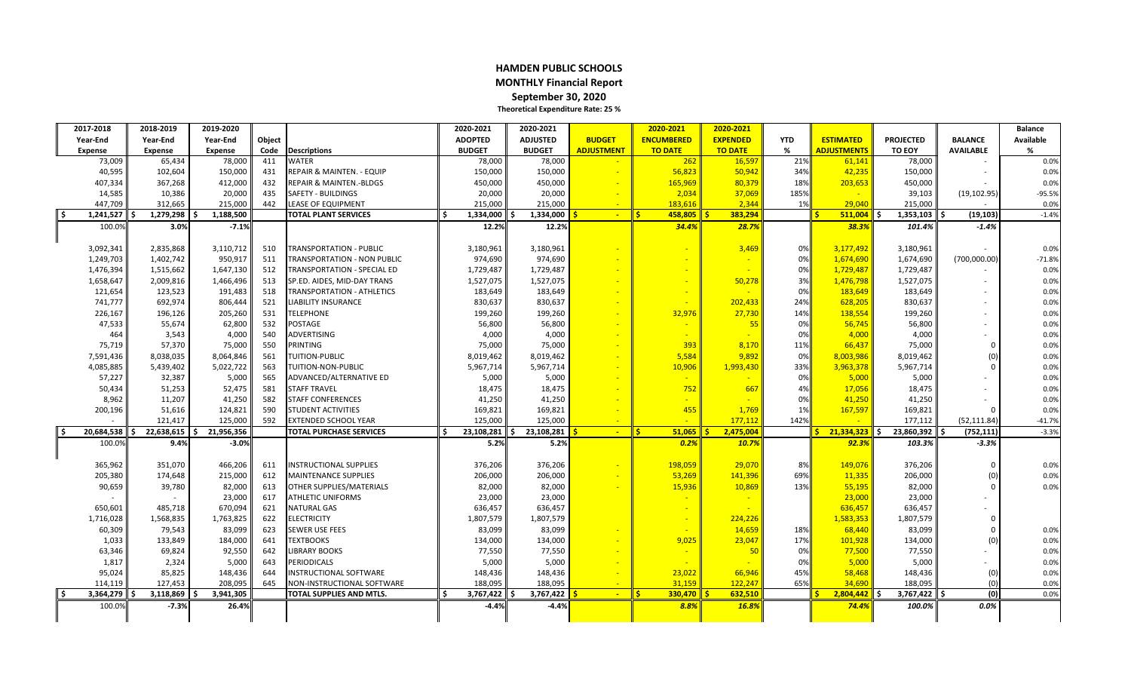#### **HAMDEN PUBLIC SCHOOLS MONTHLY Financial Report September 30, 2020 Theoretical Expenditure Rate: 25 %**

| 2017-2018         | 2018-2019      | 2019-2020         |        |                                      | 2020-2021         | 2020-2021        |                   | 2020-2021           | 2020-2021       |            |                                  |                  |                   | <b>Balance</b> |
|-------------------|----------------|-------------------|--------|--------------------------------------|-------------------|------------------|-------------------|---------------------|-----------------|------------|----------------------------------|------------------|-------------------|----------------|
| Year-End          | Year-End       | Year-End          | Object |                                      | <b>ADOPTED</b>    | <b>ADJUSTED</b>  | <b>BUDGET</b>     | <b>ENCUMBERED</b>   | <b>EXPENDED</b> | <b>YTD</b> | <b>ESTIMATED</b>                 | <b>PROJECTED</b> | <b>BALANCE</b>    | Available      |
| <b>Expense</b>    | <b>Expense</b> | <b>Expense</b>    | Code   | <b>Descriptions</b>                  | <b>BUDGET</b>     | <b>BUDGET</b>    | <b>ADJUSTMENT</b> | <b>TO DATE</b>      | <b>TO DATE</b>  | %          | <b>ADJUSTMENTS</b>               | TO EOY           | <b>AVAILABLE</b>  | %              |
| 73,009            | 65,434         | 78,000            | 411    | <b>WATER</b>                         | 78,000            | 78,000           |                   | 262                 | 16,597          | 21%        | 61,141                           | 78,000           |                   | 0.0%           |
| 40,595            | 102,604        | 150,000           | 431    | <b>REPAIR &amp; MAINTEN. - EQUIP</b> | 150,000           | 150,000          |                   | 56,823              | 50,942          | 34%        | 42,235                           | 150,000          |                   | 0.0%           |
| 407,334           | 367,268        | 412,000           | 432    | <b>REPAIR &amp; MAINTEN.-BLDGS</b>   | 450,000           | 450,000          |                   | 165,969             | 80,379          | 18%        | 203,653                          | 450,000          |                   | 0.0%           |
| 14,585            | 10,386         | 20,000            | 435    | <b>SAFETY - BUILDINGS</b>            | 20,000            | 20,000           |                   | 2,034               | 37,069          | 185%       |                                  | 39,103           | (19, 102.95)      | $-95.5%$       |
| 447,709           | 312.665        | 215,000           | 442    | LEASE OF EQUIPMENT                   | 215.000           | 215.000          |                   | 183.616             | 2.344           | 1%         | 29.040                           | 215,000          |                   | 0.0%           |
| 1,241,527         | 1,279,298      | 1,188,500         |        | <b>TOTAL PLANT SERVICES</b>          | l \$<br>1,334,000 | 1,334,000<br>- 4 | $\sim$            | l s<br>458,805      | 383,294         |            | $511,004$ \$                     | 1,353,103        | l \$<br>(19, 103) | $-1.4%$        |
| 100.0%            | 3.0%           | $-7.1%$           |        |                                      | 12.2%             | 12.2%            |                   | 34.4%               | 28.7%           |            | 38.3%                            | 101.4%           | $-1.4%$           |                |
|                   |                |                   |        |                                      |                   |                  |                   |                     |                 |            |                                  |                  |                   |                |
| 3,092,341         | 2,835,868      | 3,110,712         | 510    | <b>TRANSPORTATION - PUBLIC</b>       | 3,180,961         | 3,180,961        |                   |                     | 3,469           | 0%         | 3,177,492                        | 3,180,961        |                   | 0.0%           |
| 1,249,703         | 1,402,742      | 950,917           | 511    | <b>TRANSPORTATION - NON PUBLIC</b>   | 974,690           | 974,690          |                   |                     |                 | 0%         | 1,674,690                        | 1,674,690        | (700,000.00       | $-71.8%$       |
| 1,476,394         | 1,515,662      | 1,647,130         | 512    | <b>TRANSPORTATION - SPECIAL ED</b>   | 1,729,487         | 1,729,487        |                   |                     |                 | 0%         | 1,729,487                        | 1,729,487        |                   | 0.0%           |
| 1,658,647         | 2,009,816      | 1,466,496         | 513    | SP.ED. AIDES, MID-DAY TRANS          | 1,527,075         | 1,527,075        |                   |                     | 50,278          | 3%         | 1,476,798                        | 1,527,075        | $\sim$            | 0.0%           |
| 121,654           | 123,523        | 191,483           | 518    | <b>TRANSPORTATION - ATHLETICS</b>    | 183,649           | 183,649          |                   |                     |                 | 0%         | 183,649                          | 183,649          |                   | 0.0%           |
| 741,777           | 692,974        | 806,444           | 521    | <b>LIABILITY INSURANCE</b>           | 830,637           | 830,637          |                   |                     | 202,433         | 24%        | 628,205                          | 830,637          |                   | 0.0%           |
| 226,167           | 196,126        | 205,260           | 531    | <b>TELEPHONE</b>                     | 199,260           | 199,260          |                   | 32,976              | 27,730          | 14%        | 138,554                          | 199,260          | $\sim$            | 0.0%           |
| 47,533            | 55,674         | 62,800            | 532    | <b>POSTAGE</b>                       | 56,800            | 56,800           |                   |                     | 55              | 0%         | 56,745                           | 56,800           | $\sim$            | 0.0%           |
| 464               | 3,543          | 4,000             | 540    | <b>ADVERTISING</b>                   | 4,000             | 4,000            |                   |                     |                 | 0%         | 4,000                            | 4,000            |                   | 0.0%           |
| 75,719            | 57,370         | 75,000            | 550    | PRINTING                             | 75,000            | 75,000           |                   | 393                 | 8,170           | 11%        | 66,437                           | 75,000           | $\mathbf 0$       | 0.0%           |
| 7,591,436         | 8,038,035      | 8,064,846         | 561    | <b>TUITION-PUBLIC</b>                | 8,019,462         | 8,019,462        |                   | 5,584               | 9,892           | 0%         | 8,003,986                        | 8,019,462        | (0)               | 0.0%           |
| 4,085,885         | 5,439,402      | 5,022,722         | 563    | TUITION-NON-PUBLIC                   | 5,967,714         | 5,967,714        |                   | 10,906              | 1,993,430       | 33%        | 3,963,378                        | 5,967,714        | $\Omega$          | 0.0%           |
| 57,227            | 32,387         | 5,000             | 565    | ADVANCED/ALTERNATIVE ED              | 5,000             | 5,000            |                   |                     |                 | 0%         | 5,000                            | 5,000            |                   | 0.0%           |
| 50,434            | 51,253         | 52,475            | 581    | <b>STAFF TRAVEL</b>                  | 18,475            | 18,475           |                   | 752                 | 667             | 4%         | 17,056                           | 18,475           |                   | 0.0%           |
| 8,962             | 11,207         | 41,250            | 582    | <b>STAFF CONFERENCES</b>             | 41,250            | 41,250           |                   |                     |                 | 0%         | 41,250                           | 41,250           |                   | 0.0%           |
| 200,196           | 51,616         | 124,821           | 590    | <b>STUDENT ACTIVITIES</b>            | 169,821           | 169,821          |                   | 455                 | 1,769           | 1%         | 167,597                          | 169,821          | $\Omega$          | 0.0%           |
|                   | 121,417        | 125,000           | 592    | <b>EXTENDED SCHOOL YEAR</b>          | 125,000           | 125,000          |                   | $\sim$              | 177,112         | 142%       |                                  | 177,112          | (52, 111.84)      | $-41.7%$       |
| 20,684,538        | 22,638,615     | 21,956,356<br>۱Ś. |        | <b>TOTAL PURCHASE SERVICES</b>       | 23,108,281<br>S.  | 23,108,281       | $\sim$            | $51,065$ \$<br>I\$. | 2,475,004       |            | <mark>21,334,323</mark> \$<br>¢. | 23,860,392       | (752, 111)<br>۱Ś. | $-3.3%$        |
| 100.0%            | 9.4%           | $-3.0%$           |        |                                      | 5.2%              | 5.2%             |                   | 0.2%                | 10.7%           |            | 92.3%                            | 103.3%           | $-3.3%$           |                |
|                   |                |                   |        |                                      |                   |                  |                   |                     |                 |            |                                  |                  |                   |                |
| 365,962           | 351,070        | 466,206           | 611    | <b>INSTRUCTIONAL SUPPLIES</b>        | 376,206           | 376,206          |                   | 198,059             | 29,070          | 8%         | 149,076                          | 376,206          | 0                 | 0.0%           |
| 205,380           | 174,648        | 215,000           | 612    | MAINTENANCE SUPPLIES                 | 206,000           | 206,000          |                   | 53,269              | 141,396         | 69%        | 11,335                           | 206,000          | (0)               | 0.0%           |
| 90,659            | 39,780         | 82,000            | 613    | <b>OTHER SUPPLIES/MATERIALS</b>      | 82,000            | 82,000           |                   | 15,936              | 10,869          | 13%        | 55,195                           | 82,000           | $\Omega$          | 0.0%           |
|                   |                | 23,000            | 617    | <b>ATHLETIC UNIFORMS</b>             | 23,000            | 23,000           |                   |                     |                 |            | 23,000                           | 23,000           |                   |                |
| 650,601           | 485,718        | 670,094           | 621    | NATURAL GAS                          | 636,457           | 636,457          |                   |                     |                 |            | 636,457                          | 636,457          |                   |                |
| 1,716,028         | 1,568,835      | 1,763,825         | 622    | ELECTRICITY                          | 1,807,579         | 1,807,579        |                   |                     | 224,226         |            | 1,583,353                        | 1,807,579        | $\mathbf 0$       |                |
| 60,309            | 79,543         | 83,099            | 623    | <b>SEWER USE FEES</b>                | 83,099            | 83,099           |                   |                     | 14,659          | 18%        | 68,440                           | 83,099           | $\mathbf 0$       | 0.0%           |
| 1,033             | 133,849        | 184,000           | 641    | <b>TEXTBOOKS</b>                     | 134,000           | 134,000          |                   | 9,025               | 23,047          | 17%        | 101,928                          | 134,000          | (0)               | 0.0%           |
| 63,346            | 69,824         | 92,550            | 642    | <b>LIBRARY BOOKS</b>                 | 77,550            | 77,550           |                   |                     | 50              | 0%         | 77,500                           | 77,550           |                   | 0.0%           |
| 1,817             | 2,324          | 5,000             | 643    | PERIODICALS                          | 5,000             | 5,000            |                   |                     |                 | 0%         | 5,000                            | 5,000            |                   | 0.0%           |
| 95,024            | 85,825         | 148,436           | 644    | <b>INSTRUCTIONAL SOFTWARE</b>        | 148,436           | 148,436          |                   | 23,022              | 66,946          | 45%        | 58,468                           | 148,436          | (0)               | 0.0%           |
| 114,119           | 127,453        | 208,095           | 645    | NON-INSTRUCTIONAL SOFTWARE           | 188,095           | 188,095          |                   | 31,159              | 122,247         | 65%        | 34,690                           | 188,095          | (0)               | 0.0%           |
| 3,364,279<br>l \$ | 3,118,869      | 3,941,305<br>-¢   |        | TOTAL SUPPLIES AND MTLS.             | 3,767,422<br>l \$ | 3,767,422<br>- 4 | $\sim$            | 330.470<br>l sl     | 632,510         |            | $2,804,442$ \$                   | $3,767,422$ \$   | (0)               | 0.0%           |
| 100.0%            | $-7.3%$        | 26.4%             |        |                                      | $-4.4%$           | $-4.4%$          |                   | 8.8%                | 16.8%           |            | 74.4%                            | 100.0%           | $0.0\%$           |                |
|                   |                |                   |        |                                      |                   |                  |                   |                     |                 |            |                                  |                  |                   |                |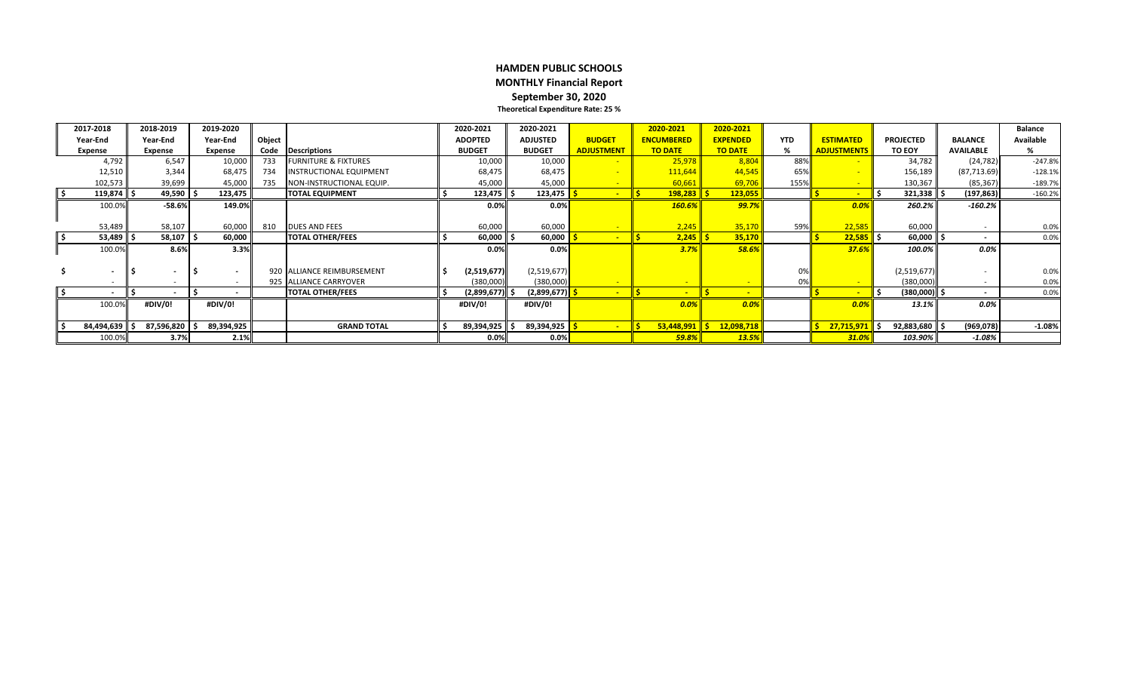#### **HAMDEN PUBLIC SCHOOLS MONTHLY Financial Report September 30, 2020 Theoretical Expenditure Rate: 25 %**

|       | 2017-2018                | 2018-2019      | 2019-2020      |                          |                                 | 2020-2021      | 2020-2021             |                   | 2020-2021         | 2020-2021       |            |                    |                       |                          | <b>Balance</b>   |
|-------|--------------------------|----------------|----------------|--------------------------|---------------------------------|----------------|-----------------------|-------------------|-------------------|-----------------|------------|--------------------|-----------------------|--------------------------|------------------|
|       | Year-End                 | Year-End       | Year-End       | Object                   |                                 | <b>ADOPTED</b> | <b>ADJUSTED</b>       | <b>BUDGET</b>     | <b>ENCUMBERED</b> | <b>EXPENDED</b> | <b>YTD</b> | <b>ESTIMATED</b>   | <b>PROJECTED</b>      | <b>BALANCE</b>           | <b>Available</b> |
|       | <b>Expense</b>           | <b>Expense</b> | <b>Expense</b> | Code                     | Descriptions                    | <b>BUDGET</b>  | <b>BUDGET</b>         | <b>ADJUSTMENT</b> | <b>TO DATE</b>    | <b>TO DATE</b>  | %          | <b>ADJUSTMENTS</b> | <b>TO EOY</b>         | <b>AVAILABLE</b>         |                  |
|       | 4,792                    | 6,547          | 10,000         | 733                      | <b>FURNITURE &amp; FIXTURES</b> | 10,000         | 10,000                |                   | 25,978            | 8,804           | 88%        |                    | 34,782                | (24, 782)                | $-247.8%$        |
|       | 12,510                   | 3,344          | 68,475         | 734                      | <b>INSTRUCTIONAL EQUIPMENT</b>  | 68,475         | 68,475                |                   | 111,644           | 44,545          | 65%        |                    | 156,189               | (87, 713.69)             | $-128.1%$        |
|       | 102,573                  | 39,699         | 45,000         | 735                      | NON-INSTRUCTIONAL EQUIP.        | 45,000         | 45,000                |                   | 60,661            | 69,706          | 155%       |                    | 130,367               | (85, 367)                | $-189.7%$        |
| ll \$ | 119,874                  | 49,590         | 123,475        |                          | <b>TOTAL EQUIPMENT</b>          | 123,475        | 123,475               |                   | $198,283$ \$      | 123,055         |            |                    | 321,338<br>. ז        | (197, 863)               | $-160.2%$        |
|       | 100.0%                   | $-58.6%$       |                | 149.0%                   |                                 | 0.0%           | 0.0%                  |                   | 160.6%            | 99.7%           |            | 0.0%               | 260.2%                | $-160.2%$                |                  |
|       |                          |                |                |                          |                                 |                |                       |                   |                   |                 |            |                    |                       |                          |                  |
|       | 53,489                   | 58,107         | 60,000         | 810                      | <b>DUES AND FEES</b>            | 60,000         | 60,000                |                   | 2,245             | 35,170          | 59%        | 22,585             | 60,000                | $\sim$                   | 0.0%             |
| ll \$ | 53,489                   | 58,107         | 60,000         |                          | <b>TOTAL OTHER/FEES</b>         | 60,000         | 60,000 $\frac{15}{5}$ |                   | $2,245$ \$        | 35,170          |            | $22,585$ \$        | 60,000                | $\overline{\phantom{a}}$ | 0.0%             |
|       | 100.0%                   | 8.6%           |                | 3.3%                     |                                 | 0.0%           | 0.0%                  |                   | 3.7%              | 58.6%           |            | 37.6%              | 100.0%                | 0.0%                     |                  |
|       |                          |                |                |                          |                                 |                |                       |                   |                   |                 |            |                    |                       |                          |                  |
|       | $\overline{\phantom{a}}$ |                |                | $\overline{\phantom{0}}$ | 920 IALLIANCE REIMBURSEMENT     | (2,519,677)    | (2,519,677)           |                   |                   |                 |            |                    | (2,519,677)           | $\overline{\phantom{a}}$ | 0.0%             |
|       | $\sim$                   |                |                |                          | 925 ALLIANCE CARRYOVER          | (380,000)      | (380,000)             |                   |                   |                 |            |                    | (380,000)             | $\sim$                   | 0.0%             |
| ۱\$   | $\overline{\phantom{a}}$ |                |                | $\sim$                   | <b>TOTAL OTHER/FEES</b>         | (2,899,677)    | (2,899,677)           |                   |                   |                 |            |                    | (380,000)<br><u>ь</u> | $\sim$                   | 0.0%             |
|       | 100.0%                   | #DIV/0!        | #DIV/0!        |                          |                                 | #DIV/0!        | #DIV/0!               |                   | 0.0%              | 0.0%            |            | 0.0%               | 13.1%                 | $0.0\%$                  |                  |
|       |                          |                |                |                          |                                 |                |                       |                   |                   |                 |            |                    |                       |                          |                  |
|       | 84,494,639               | 87,596,820     | 89,394,925     |                          | <b>GRAND TOTAL</b>              | 89,394,925     | 89,394,925            |                   | 53,448,991        | 12,098,718      |            | 27,715,971         | 92,883,680            | (969, 078)               | $-1.08%$         |
|       | 100.0%                   | 3.7%           |                | 2.1%                     |                                 | 0.0%           | $0.0\%$               |                   | $59.8\%$          | 13.5%           |            | 31.0%              | 103.90%               | $-1.08%$                 |                  |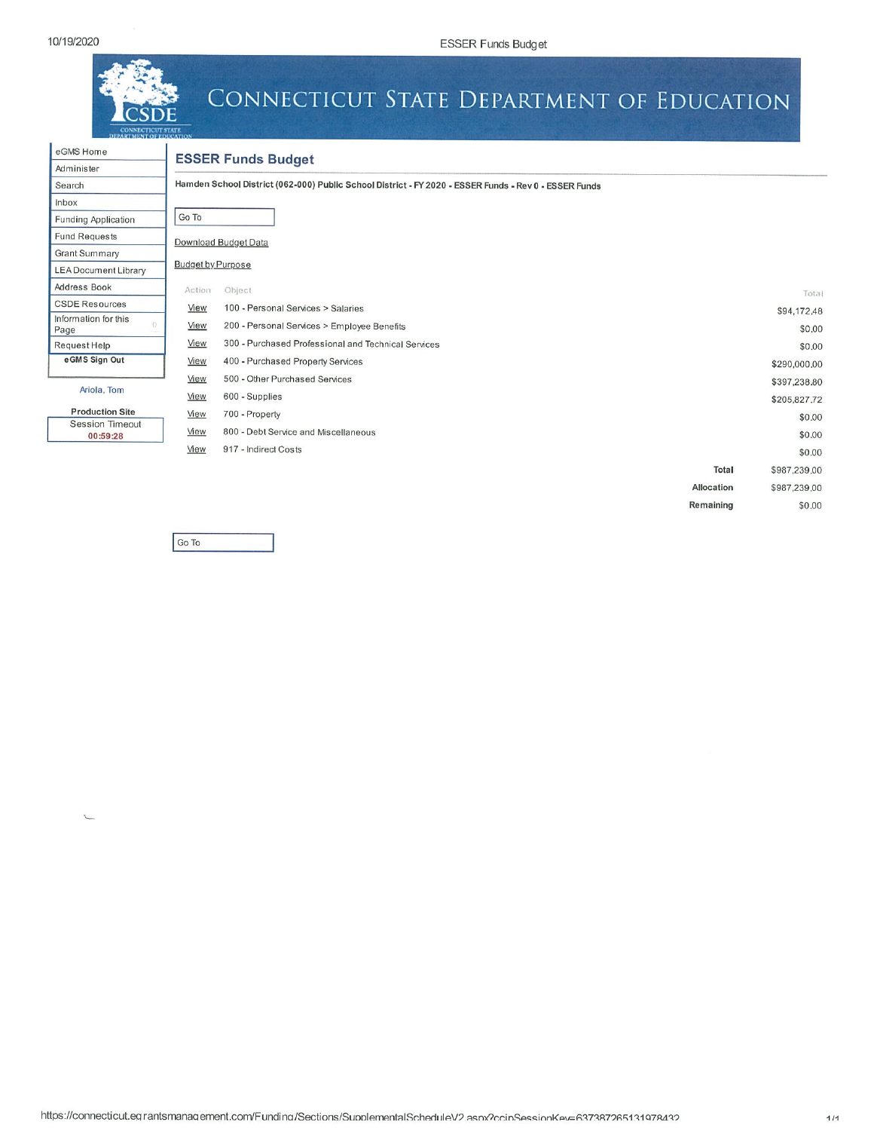eGMS Home



# CONNECTICUT STATE DEPARTMENT OF EDUCATION

| Administer                   |   |
|------------------------------|---|
| Search                       |   |
| Inbox                        |   |
| <b>Funding Application</b>   |   |
| <b>Fund Requests</b>         |   |
| <b>Grant Summary</b>         |   |
| LEA Document Library         |   |
| Address Book                 |   |
| <b>CSDE Resources</b>        |   |
| Information for this<br>Page | 0 |
| Request Help                 |   |
| e GMS Sign Out               |   |

 $\sim$ 

# **ESSER Funds Budget**

Hamden School District (062-000) Public School District - FY 2020 - ESSER Funds - Rev 0 - ESSER Funds

| ັ                                  |                          |                                                     |            |              |
|------------------------------------|--------------------------|-----------------------------------------------------|------------|--------------|
| ding Application                   | Go To                    |                                                     |            |              |
| d Requests                         |                          | Download Budget Data                                |            |              |
| int Summary                        |                          |                                                     |            |              |
| A Document Library                 | <b>Budget by Purpose</b> |                                                     |            |              |
| <b>Iress Book</b>                  | Action                   | Object                                              |            | Total        |
| <b>DE Resources</b>                | View                     | 100 - Personal Services > Salaries                  |            | \$94,172.48  |
| mation for this<br>jе              | View                     | 200 - Personal Services > Employee Benefits         |            | \$0,00       |
| quest Help                         | View                     | 300 - Purchased Professional and Technical Services |            | \$0.00       |
| GMS Sign Out                       | View                     | 400 - Purchased Property Services                   |            | \$290,000,00 |
|                                    | View                     | 500 - Other Purchased Services                      |            | \$397,238.80 |
| Ariola, Tom                        | View                     | 600 - Supplies                                      |            | \$205,827.72 |
| <b>Production Site</b>             | View                     | 700 - Property                                      |            | \$0.00       |
| <b>Session Timeout</b><br>00:59:28 | View                     | 800 - Debt Service and Miscellaneous                |            | \$0.00       |
|                                    | View                     | 917 - Indirect Costs                                |            | \$0.00       |
|                                    |                          |                                                     | Total      | \$987,239,00 |
|                                    |                          |                                                     | Allocation | \$987,239,00 |
|                                    |                          |                                                     | Remaining  | \$0.00       |

Go To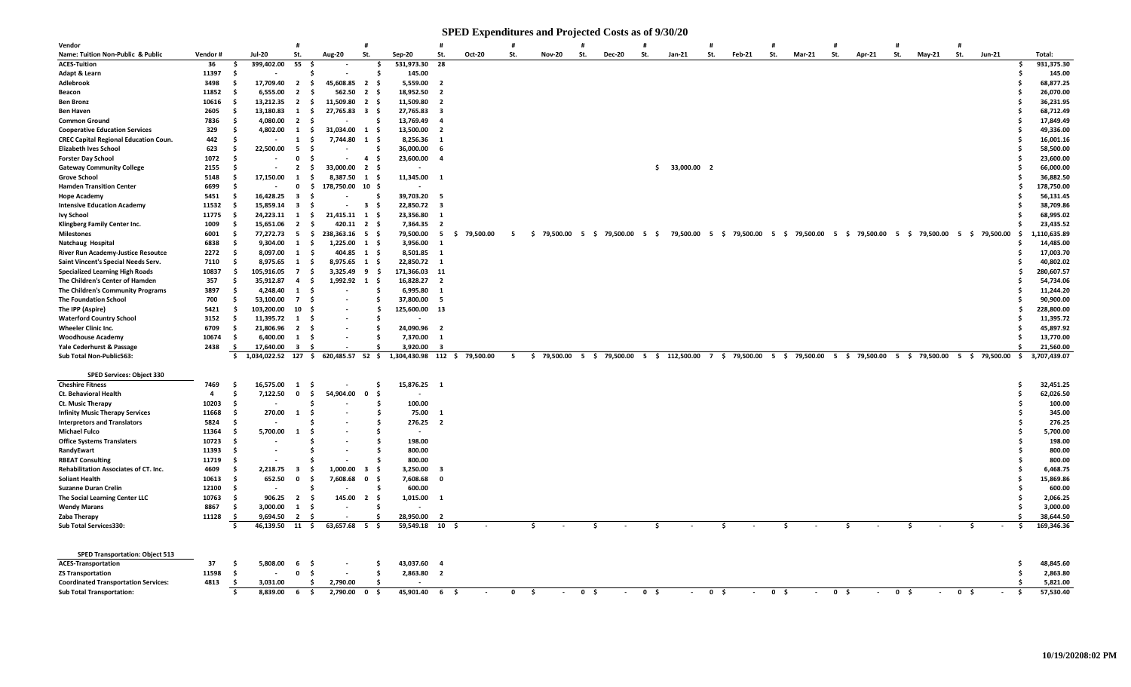#### **SPED Expenditures and Projected Costs as of 9/30/20**

| St.<br>St.<br>St.<br>St.<br>St.<br>St.<br>St.<br>St.<br>St.<br>St.<br>St.<br>Name: Tuition Non-Public & Public<br>Vendor#<br><b>Jul-20</b><br>Aug-20<br>Sep-20<br>Oct-20<br><b>Nov-20</b><br><b>Dec-20</b><br>$Jan-21$<br>Feb-21<br>Mar-21<br>Apr-21<br>May-21<br><b>Jun-21</b><br>399,402.00<br>55<br>531,973.30<br>28<br><b>ACES-Tuition</b><br>36<br>Ŝ.<br>\$.<br>- Ś<br>11397<br>Adapt & Learn<br>- \$<br>145.00<br>-S<br>.S<br>Adlebrook<br>3498<br>17,709.40<br>$\overline{2}$<br>45,608.85<br>$\overline{2}$<br>5,559.00<br>$\overline{\mathbf{2}}$<br>- \$<br>- \$<br>- S<br>11852<br>6,555.00<br>562.50<br>18,952.50<br>$\overline{2}$<br>$\overline{2}$<br>$\overline{\mathbf{2}}$<br>Beacon<br>- S<br>- S<br>- \$<br>10616<br>13,212.35<br>11,509.80<br>11,509.80<br>$\overline{2}$<br>- \$<br>$\overline{2}$<br><b>Ben Bronz</b><br>- S<br>- \$<br>- 2<br>13,180.83<br>27,765.83<br>2605<br>1<br>s.<br>$\mathbf{3}$<br>- \$<br>27,765.83<br><b>Ben Haven</b><br>-S<br>- 3<br>7836<br>4,080.00<br>$\overline{2}$<br>13,769.49<br><b>Common Ground</b><br>- S<br>- Ś<br>- Ś<br>- 4<br>329<br><b>Cooperative Education Services</b><br>4,802.00<br>31,034.00<br>13,500.00<br>- S<br>1<br>- S<br>1<br>- \$<br>- 2<br>442<br><b>CREC Capital Regional Education Coun.</b><br>- Ś<br>7,744.80<br>1<br>8,256.36<br>$\blacksquare$<br>1<br>- S<br>- S<br>623<br>22,500.00<br><b>Elizabeth Ives School</b><br>5<br>36,000.00<br>- S<br>Ŝ<br>- 6<br>1072<br><b>Forster Day School</b><br>23,600.00<br>- \$<br>$\mathbf{0}$<br>4\$<br>$\overline{4}$<br>-9<br>2155<br>$\overline{2}$<br>33,000.00<br>33,000.00 2<br><b>Gateway Community College</b><br>- S<br>- S<br>2\$<br>S.<br>17,150.00<br><b>Grove School</b><br>5148<br>$\mathbf{1}$<br>8,387.50<br>11,345.00<br>- Ś<br>1<br>- S<br>$\overline{\mathbf{1}}$<br>-S<br><b>Hamden Transition Center</b><br>6699<br>178,750.00<br>10 <sub>5</sub><br>- S<br>0<br>- S<br><b>Hope Academy</b><br>5451<br>16,428.25<br>$\overline{\mathbf{3}}$<br>39,703.20<br>- Ś<br>Ŝ<br>- 5<br>.s<br>11532<br>15,859.14<br>$\overline{\mathbf{3}}$<br>22,850.72<br><b>Intensive Education Academy</b><br>- Ś<br>$\overline{\mathbf{3}}$<br>- 3<br>- \$<br>- S<br>11775<br>24,223.11<br>21,415.11<br>23,356.80<br><b>Ivy School</b><br>- \$<br>s.<br>1<br>1<br>- S<br>- 1<br>1009<br>15,651.06<br>420.11<br>7,364.35<br>Klingberg Family Center Inc.<br>$\overline{2}$<br>- \$<br>2\$<br>$\overline{\mathbf{2}}$<br>-S<br>6001<br>77,272.73<br>5<br>238,363.16<br>79,500.00<br>5 \$ 79,500.00 5 \$ 79,500.00 5<br>\$79,500.00 5 \$79,500.00<br>- Ś<br>- \$<br>5<br>5<br>79,500.00<br>79,500.00<br>5 \$ 79,500.00 5 \$<br>79,500.00<br>5 \$ 79,500.00<br><b>Milestones</b><br>- \$<br>- S<br>-5<br>-S<br>6838<br>9,304.00<br>1,225.00<br>3,956.00<br>- Ś<br><b>1</b><br>- \$<br>Natchaug Hospital<br>1\$<br>- 1<br>River Run Academy-Justice Resoutce<br>2272<br>Ŝ.<br>8,097.00<br>1<br>- \$<br>404.85<br>1<br>- \$<br>8,501.85<br>$\overline{1}$<br>Saint Vincent's Special Needs Serv.<br>7110<br>8,975.65<br>1<br>-\$<br>8,975.65<br>1<br>- \$<br>22,850.72<br>$\overline{\mathbf{1}}$<br><b>Specialized Learning High Roads</b><br>10837<br>105,916.05<br>$\overline{7}$<br>3,325.49<br>- \$<br>171,366.03<br>11<br>- S<br>- S<br>9<br>The Children's Center of Hamden<br>357<br>35,912.87<br>1,992.92<br>1<br>16,828.27<br>- S<br>4<br>- S<br>- S<br>$\overline{2}$ | Total:<br>931,375.30<br>Ŝ.<br>145.00<br>68,877.25<br>26,070.00<br>36,231.95<br>68,712.49<br>17,849.49<br>49,336.00<br>16,001.16<br>58,500.00<br>23,600.00<br>66,000.00<br>36,882.50<br>178,750.00<br>56,131.45<br>38,709.86<br>68,995.02<br>23,435.52<br>110,635.89<br>- S<br>14,485.00<br>17,003.70<br>40,802.02 |
|------------------------------------------------------------------------------------------------------------------------------------------------------------------------------------------------------------------------------------------------------------------------------------------------------------------------------------------------------------------------------------------------------------------------------------------------------------------------------------------------------------------------------------------------------------------------------------------------------------------------------------------------------------------------------------------------------------------------------------------------------------------------------------------------------------------------------------------------------------------------------------------------------------------------------------------------------------------------------------------------------------------------------------------------------------------------------------------------------------------------------------------------------------------------------------------------------------------------------------------------------------------------------------------------------------------------------------------------------------------------------------------------------------------------------------------------------------------------------------------------------------------------------------------------------------------------------------------------------------------------------------------------------------------------------------------------------------------------------------------------------------------------------------------------------------------------------------------------------------------------------------------------------------------------------------------------------------------------------------------------------------------------------------------------------------------------------------------------------------------------------------------------------------------------------------------------------------------------------------------------------------------------------------------------------------------------------------------------------------------------------------------------------------------------------------------------------------------------------------------------------------------------------------------------------------------------------------------------------------------------------------------------------------------------------------------------------------------------------------------------------------------------------------------------------------------------------------------------------------------------------------------------------------------------------------------------------------------------------------------------------------------------------------------------------------------------------------------------------------------------------------------------------------------------------------------------------------------------------------------------------------------------------------------------------------------------------------------------------------------------------------------------------------|-------------------------------------------------------------------------------------------------------------------------------------------------------------------------------------------------------------------------------------------------------------------------------------------------------------------|
|                                                                                                                                                                                                                                                                                                                                                                                                                                                                                                                                                                                                                                                                                                                                                                                                                                                                                                                                                                                                                                                                                                                                                                                                                                                                                                                                                                                                                                                                                                                                                                                                                                                                                                                                                                                                                                                                                                                                                                                                                                                                                                                                                                                                                                                                                                                                                                                                                                                                                                                                                                                                                                                                                                                                                                                                                                                                                                                                                                                                                                                                                                                                                                                                                                                                                                                                                                                                            |                                                                                                                                                                                                                                                                                                                   |
|                                                                                                                                                                                                                                                                                                                                                                                                                                                                                                                                                                                                                                                                                                                                                                                                                                                                                                                                                                                                                                                                                                                                                                                                                                                                                                                                                                                                                                                                                                                                                                                                                                                                                                                                                                                                                                                                                                                                                                                                                                                                                                                                                                                                                                                                                                                                                                                                                                                                                                                                                                                                                                                                                                                                                                                                                                                                                                                                                                                                                                                                                                                                                                                                                                                                                                                                                                                                            |                                                                                                                                                                                                                                                                                                                   |
|                                                                                                                                                                                                                                                                                                                                                                                                                                                                                                                                                                                                                                                                                                                                                                                                                                                                                                                                                                                                                                                                                                                                                                                                                                                                                                                                                                                                                                                                                                                                                                                                                                                                                                                                                                                                                                                                                                                                                                                                                                                                                                                                                                                                                                                                                                                                                                                                                                                                                                                                                                                                                                                                                                                                                                                                                                                                                                                                                                                                                                                                                                                                                                                                                                                                                                                                                                                                            |                                                                                                                                                                                                                                                                                                                   |
|                                                                                                                                                                                                                                                                                                                                                                                                                                                                                                                                                                                                                                                                                                                                                                                                                                                                                                                                                                                                                                                                                                                                                                                                                                                                                                                                                                                                                                                                                                                                                                                                                                                                                                                                                                                                                                                                                                                                                                                                                                                                                                                                                                                                                                                                                                                                                                                                                                                                                                                                                                                                                                                                                                                                                                                                                                                                                                                                                                                                                                                                                                                                                                                                                                                                                                                                                                                                            |                                                                                                                                                                                                                                                                                                                   |
|                                                                                                                                                                                                                                                                                                                                                                                                                                                                                                                                                                                                                                                                                                                                                                                                                                                                                                                                                                                                                                                                                                                                                                                                                                                                                                                                                                                                                                                                                                                                                                                                                                                                                                                                                                                                                                                                                                                                                                                                                                                                                                                                                                                                                                                                                                                                                                                                                                                                                                                                                                                                                                                                                                                                                                                                                                                                                                                                                                                                                                                                                                                                                                                                                                                                                                                                                                                                            |                                                                                                                                                                                                                                                                                                                   |
|                                                                                                                                                                                                                                                                                                                                                                                                                                                                                                                                                                                                                                                                                                                                                                                                                                                                                                                                                                                                                                                                                                                                                                                                                                                                                                                                                                                                                                                                                                                                                                                                                                                                                                                                                                                                                                                                                                                                                                                                                                                                                                                                                                                                                                                                                                                                                                                                                                                                                                                                                                                                                                                                                                                                                                                                                                                                                                                                                                                                                                                                                                                                                                                                                                                                                                                                                                                                            |                                                                                                                                                                                                                                                                                                                   |
|                                                                                                                                                                                                                                                                                                                                                                                                                                                                                                                                                                                                                                                                                                                                                                                                                                                                                                                                                                                                                                                                                                                                                                                                                                                                                                                                                                                                                                                                                                                                                                                                                                                                                                                                                                                                                                                                                                                                                                                                                                                                                                                                                                                                                                                                                                                                                                                                                                                                                                                                                                                                                                                                                                                                                                                                                                                                                                                                                                                                                                                                                                                                                                                                                                                                                                                                                                                                            |                                                                                                                                                                                                                                                                                                                   |
|                                                                                                                                                                                                                                                                                                                                                                                                                                                                                                                                                                                                                                                                                                                                                                                                                                                                                                                                                                                                                                                                                                                                                                                                                                                                                                                                                                                                                                                                                                                                                                                                                                                                                                                                                                                                                                                                                                                                                                                                                                                                                                                                                                                                                                                                                                                                                                                                                                                                                                                                                                                                                                                                                                                                                                                                                                                                                                                                                                                                                                                                                                                                                                                                                                                                                                                                                                                                            |                                                                                                                                                                                                                                                                                                                   |
|                                                                                                                                                                                                                                                                                                                                                                                                                                                                                                                                                                                                                                                                                                                                                                                                                                                                                                                                                                                                                                                                                                                                                                                                                                                                                                                                                                                                                                                                                                                                                                                                                                                                                                                                                                                                                                                                                                                                                                                                                                                                                                                                                                                                                                                                                                                                                                                                                                                                                                                                                                                                                                                                                                                                                                                                                                                                                                                                                                                                                                                                                                                                                                                                                                                                                                                                                                                                            |                                                                                                                                                                                                                                                                                                                   |
|                                                                                                                                                                                                                                                                                                                                                                                                                                                                                                                                                                                                                                                                                                                                                                                                                                                                                                                                                                                                                                                                                                                                                                                                                                                                                                                                                                                                                                                                                                                                                                                                                                                                                                                                                                                                                                                                                                                                                                                                                                                                                                                                                                                                                                                                                                                                                                                                                                                                                                                                                                                                                                                                                                                                                                                                                                                                                                                                                                                                                                                                                                                                                                                                                                                                                                                                                                                                            |                                                                                                                                                                                                                                                                                                                   |
|                                                                                                                                                                                                                                                                                                                                                                                                                                                                                                                                                                                                                                                                                                                                                                                                                                                                                                                                                                                                                                                                                                                                                                                                                                                                                                                                                                                                                                                                                                                                                                                                                                                                                                                                                                                                                                                                                                                                                                                                                                                                                                                                                                                                                                                                                                                                                                                                                                                                                                                                                                                                                                                                                                                                                                                                                                                                                                                                                                                                                                                                                                                                                                                                                                                                                                                                                                                                            |                                                                                                                                                                                                                                                                                                                   |
|                                                                                                                                                                                                                                                                                                                                                                                                                                                                                                                                                                                                                                                                                                                                                                                                                                                                                                                                                                                                                                                                                                                                                                                                                                                                                                                                                                                                                                                                                                                                                                                                                                                                                                                                                                                                                                                                                                                                                                                                                                                                                                                                                                                                                                                                                                                                                                                                                                                                                                                                                                                                                                                                                                                                                                                                                                                                                                                                                                                                                                                                                                                                                                                                                                                                                                                                                                                                            |                                                                                                                                                                                                                                                                                                                   |
|                                                                                                                                                                                                                                                                                                                                                                                                                                                                                                                                                                                                                                                                                                                                                                                                                                                                                                                                                                                                                                                                                                                                                                                                                                                                                                                                                                                                                                                                                                                                                                                                                                                                                                                                                                                                                                                                                                                                                                                                                                                                                                                                                                                                                                                                                                                                                                                                                                                                                                                                                                                                                                                                                                                                                                                                                                                                                                                                                                                                                                                                                                                                                                                                                                                                                                                                                                                                            |                                                                                                                                                                                                                                                                                                                   |
|                                                                                                                                                                                                                                                                                                                                                                                                                                                                                                                                                                                                                                                                                                                                                                                                                                                                                                                                                                                                                                                                                                                                                                                                                                                                                                                                                                                                                                                                                                                                                                                                                                                                                                                                                                                                                                                                                                                                                                                                                                                                                                                                                                                                                                                                                                                                                                                                                                                                                                                                                                                                                                                                                                                                                                                                                                                                                                                                                                                                                                                                                                                                                                                                                                                                                                                                                                                                            |                                                                                                                                                                                                                                                                                                                   |
|                                                                                                                                                                                                                                                                                                                                                                                                                                                                                                                                                                                                                                                                                                                                                                                                                                                                                                                                                                                                                                                                                                                                                                                                                                                                                                                                                                                                                                                                                                                                                                                                                                                                                                                                                                                                                                                                                                                                                                                                                                                                                                                                                                                                                                                                                                                                                                                                                                                                                                                                                                                                                                                                                                                                                                                                                                                                                                                                                                                                                                                                                                                                                                                                                                                                                                                                                                                                            |                                                                                                                                                                                                                                                                                                                   |
|                                                                                                                                                                                                                                                                                                                                                                                                                                                                                                                                                                                                                                                                                                                                                                                                                                                                                                                                                                                                                                                                                                                                                                                                                                                                                                                                                                                                                                                                                                                                                                                                                                                                                                                                                                                                                                                                                                                                                                                                                                                                                                                                                                                                                                                                                                                                                                                                                                                                                                                                                                                                                                                                                                                                                                                                                                                                                                                                                                                                                                                                                                                                                                                                                                                                                                                                                                                                            |                                                                                                                                                                                                                                                                                                                   |
|                                                                                                                                                                                                                                                                                                                                                                                                                                                                                                                                                                                                                                                                                                                                                                                                                                                                                                                                                                                                                                                                                                                                                                                                                                                                                                                                                                                                                                                                                                                                                                                                                                                                                                                                                                                                                                                                                                                                                                                                                                                                                                                                                                                                                                                                                                                                                                                                                                                                                                                                                                                                                                                                                                                                                                                                                                                                                                                                                                                                                                                                                                                                                                                                                                                                                                                                                                                                            |                                                                                                                                                                                                                                                                                                                   |
|                                                                                                                                                                                                                                                                                                                                                                                                                                                                                                                                                                                                                                                                                                                                                                                                                                                                                                                                                                                                                                                                                                                                                                                                                                                                                                                                                                                                                                                                                                                                                                                                                                                                                                                                                                                                                                                                                                                                                                                                                                                                                                                                                                                                                                                                                                                                                                                                                                                                                                                                                                                                                                                                                                                                                                                                                                                                                                                                                                                                                                                                                                                                                                                                                                                                                                                                                                                                            |                                                                                                                                                                                                                                                                                                                   |
|                                                                                                                                                                                                                                                                                                                                                                                                                                                                                                                                                                                                                                                                                                                                                                                                                                                                                                                                                                                                                                                                                                                                                                                                                                                                                                                                                                                                                                                                                                                                                                                                                                                                                                                                                                                                                                                                                                                                                                                                                                                                                                                                                                                                                                                                                                                                                                                                                                                                                                                                                                                                                                                                                                                                                                                                                                                                                                                                                                                                                                                                                                                                                                                                                                                                                                                                                                                                            |                                                                                                                                                                                                                                                                                                                   |
|                                                                                                                                                                                                                                                                                                                                                                                                                                                                                                                                                                                                                                                                                                                                                                                                                                                                                                                                                                                                                                                                                                                                                                                                                                                                                                                                                                                                                                                                                                                                                                                                                                                                                                                                                                                                                                                                                                                                                                                                                                                                                                                                                                                                                                                                                                                                                                                                                                                                                                                                                                                                                                                                                                                                                                                                                                                                                                                                                                                                                                                                                                                                                                                                                                                                                                                                                                                                            |                                                                                                                                                                                                                                                                                                                   |
|                                                                                                                                                                                                                                                                                                                                                                                                                                                                                                                                                                                                                                                                                                                                                                                                                                                                                                                                                                                                                                                                                                                                                                                                                                                                                                                                                                                                                                                                                                                                                                                                                                                                                                                                                                                                                                                                                                                                                                                                                                                                                                                                                                                                                                                                                                                                                                                                                                                                                                                                                                                                                                                                                                                                                                                                                                                                                                                                                                                                                                                                                                                                                                                                                                                                                                                                                                                                            |                                                                                                                                                                                                                                                                                                                   |
|                                                                                                                                                                                                                                                                                                                                                                                                                                                                                                                                                                                                                                                                                                                                                                                                                                                                                                                                                                                                                                                                                                                                                                                                                                                                                                                                                                                                                                                                                                                                                                                                                                                                                                                                                                                                                                                                                                                                                                                                                                                                                                                                                                                                                                                                                                                                                                                                                                                                                                                                                                                                                                                                                                                                                                                                                                                                                                                                                                                                                                                                                                                                                                                                                                                                                                                                                                                                            |                                                                                                                                                                                                                                                                                                                   |
|                                                                                                                                                                                                                                                                                                                                                                                                                                                                                                                                                                                                                                                                                                                                                                                                                                                                                                                                                                                                                                                                                                                                                                                                                                                                                                                                                                                                                                                                                                                                                                                                                                                                                                                                                                                                                                                                                                                                                                                                                                                                                                                                                                                                                                                                                                                                                                                                                                                                                                                                                                                                                                                                                                                                                                                                                                                                                                                                                                                                                                                                                                                                                                                                                                                                                                                                                                                                            |                                                                                                                                                                                                                                                                                                                   |
|                                                                                                                                                                                                                                                                                                                                                                                                                                                                                                                                                                                                                                                                                                                                                                                                                                                                                                                                                                                                                                                                                                                                                                                                                                                                                                                                                                                                                                                                                                                                                                                                                                                                                                                                                                                                                                                                                                                                                                                                                                                                                                                                                                                                                                                                                                                                                                                                                                                                                                                                                                                                                                                                                                                                                                                                                                                                                                                                                                                                                                                                                                                                                                                                                                                                                                                                                                                                            |                                                                                                                                                                                                                                                                                                                   |
|                                                                                                                                                                                                                                                                                                                                                                                                                                                                                                                                                                                                                                                                                                                                                                                                                                                                                                                                                                                                                                                                                                                                                                                                                                                                                                                                                                                                                                                                                                                                                                                                                                                                                                                                                                                                                                                                                                                                                                                                                                                                                                                                                                                                                                                                                                                                                                                                                                                                                                                                                                                                                                                                                                                                                                                                                                                                                                                                                                                                                                                                                                                                                                                                                                                                                                                                                                                                            | 280,607.57                                                                                                                                                                                                                                                                                                        |
| $\overline{\mathbf{1}}$                                                                                                                                                                                                                                                                                                                                                                                                                                                                                                                                                                                                                                                                                                                                                                                                                                                                                                                                                                                                                                                                                                                                                                                                                                                                                                                                                                                                                                                                                                                                                                                                                                                                                                                                                                                                                                                                                                                                                                                                                                                                                                                                                                                                                                                                                                                                                                                                                                                                                                                                                                                                                                                                                                                                                                                                                                                                                                                                                                                                                                                                                                                                                                                                                                                                                                                                                                                    | 54,734.06                                                                                                                                                                                                                                                                                                         |
| The Children's Community Programs<br>3897<br>4,248.40<br>6,995.80<br>- S<br>1 <sup>5</sup><br>- Ś                                                                                                                                                                                                                                                                                                                                                                                                                                                                                                                                                                                                                                                                                                                                                                                                                                                                                                                                                                                                                                                                                                                                                                                                                                                                                                                                                                                                                                                                                                                                                                                                                                                                                                                                                                                                                                                                                                                                                                                                                                                                                                                                                                                                                                                                                                                                                                                                                                                                                                                                                                                                                                                                                                                                                                                                                                                                                                                                                                                                                                                                                                                                                                                                                                                                                                          | 11,244.20                                                                                                                                                                                                                                                                                                         |
| 700<br><b>The Foundation School</b><br>53,100.00<br>7 S<br>37,800.00<br>- 5<br>Ŝ                                                                                                                                                                                                                                                                                                                                                                                                                                                                                                                                                                                                                                                                                                                                                                                                                                                                                                                                                                                                                                                                                                                                                                                                                                                                                                                                                                                                                                                                                                                                                                                                                                                                                                                                                                                                                                                                                                                                                                                                                                                                                                                                                                                                                                                                                                                                                                                                                                                                                                                                                                                                                                                                                                                                                                                                                                                                                                                                                                                                                                                                                                                                                                                                                                                                                                                           | 90,900.00                                                                                                                                                                                                                                                                                                         |
| 5421<br>The IPP (Aspire)<br>- \$<br>103,200.00<br>10 <sup>5</sup><br>125,600.00 13<br>S                                                                                                                                                                                                                                                                                                                                                                                                                                                                                                                                                                                                                                                                                                                                                                                                                                                                                                                                                                                                                                                                                                                                                                                                                                                                                                                                                                                                                                                                                                                                                                                                                                                                                                                                                                                                                                                                                                                                                                                                                                                                                                                                                                                                                                                                                                                                                                                                                                                                                                                                                                                                                                                                                                                                                                                                                                                                                                                                                                                                                                                                                                                                                                                                                                                                                                                    | 228,800.00                                                                                                                                                                                                                                                                                                        |
| 3152<br>11,395.72<br><b>Waterford Country School</b><br>- Ś<br>$1 \quad$<br>\$.                                                                                                                                                                                                                                                                                                                                                                                                                                                                                                                                                                                                                                                                                                                                                                                                                                                                                                                                                                                                                                                                                                                                                                                                                                                                                                                                                                                                                                                                                                                                                                                                                                                                                                                                                                                                                                                                                                                                                                                                                                                                                                                                                                                                                                                                                                                                                                                                                                                                                                                                                                                                                                                                                                                                                                                                                                                                                                                                                                                                                                                                                                                                                                                                                                                                                                                            | 11,395.72                                                                                                                                                                                                                                                                                                         |
| 6709<br>Wheeler Clinic Inc.<br>21,806.96<br>24,090.96<br>- Ś<br>2\$<br>$\overline{\mathbf{2}}$<br>.s                                                                                                                                                                                                                                                                                                                                                                                                                                                                                                                                                                                                                                                                                                                                                                                                                                                                                                                                                                                                                                                                                                                                                                                                                                                                                                                                                                                                                                                                                                                                                                                                                                                                                                                                                                                                                                                                                                                                                                                                                                                                                                                                                                                                                                                                                                                                                                                                                                                                                                                                                                                                                                                                                                                                                                                                                                                                                                                                                                                                                                                                                                                                                                                                                                                                                                       | 45,897.92                                                                                                                                                                                                                                                                                                         |
| 10674<br>- Ś<br>6,400.00<br>7,370.00<br><b>Woodhouse Academy</b><br>$1 \quad$<br>. Ś<br>$\mathbf{1}$<br>¢<br>- 4                                                                                                                                                                                                                                                                                                                                                                                                                                                                                                                                                                                                                                                                                                                                                                                                                                                                                                                                                                                                                                                                                                                                                                                                                                                                                                                                                                                                                                                                                                                                                                                                                                                                                                                                                                                                                                                                                                                                                                                                                                                                                                                                                                                                                                                                                                                                                                                                                                                                                                                                                                                                                                                                                                                                                                                                                                                                                                                                                                                                                                                                                                                                                                                                                                                                                           | 13,770.00                                                                                                                                                                                                                                                                                                         |
| 2438<br>s.<br>3,920.00<br>Yale Cederhurst & Passage<br>17,640.00<br>$\overline{\mathbf{3}}$<br>- 3                                                                                                                                                                                                                                                                                                                                                                                                                                                                                                                                                                                                                                                                                                                                                                                                                                                                                                                                                                                                                                                                                                                                                                                                                                                                                                                                                                                                                                                                                                                                                                                                                                                                                                                                                                                                                                                                                                                                                                                                                                                                                                                                                                                                                                                                                                                                                                                                                                                                                                                                                                                                                                                                                                                                                                                                                                                                                                                                                                                                                                                                                                                                                                                                                                                                                                         | 21,560.00                                                                                                                                                                                                                                                                                                         |
| 620,485.57 52 \$<br>1,304,430.98 112 \$<br>79,500.00<br>\$ 79,500.00 5 \$ 79,500.00 5 \$ 112,500.00<br>7 \$ 79,500.00 5 \$ 79,500.00 5 \$ 79,500.00 5 \$ 79,500.00 5 \$ 79,500.00 \$<br>Sub Total Non-Public563:<br>\$<br>1,034,022.52 127 \$<br>5                                                                                                                                                                                                                                                                                                                                                                                                                                                                                                                                                                                                                                                                                                                                                                                                                                                                                                                                                                                                                                                                                                                                                                                                                                                                                                                                                                                                                                                                                                                                                                                                                                                                                                                                                                                                                                                                                                                                                                                                                                                                                                                                                                                                                                                                                                                                                                                                                                                                                                                                                                                                                                                                                                                                                                                                                                                                                                                                                                                                                                                                                                                                                         | 3,707,439.07                                                                                                                                                                                                                                                                                                      |
| SPED Services: Object 330                                                                                                                                                                                                                                                                                                                                                                                                                                                                                                                                                                                                                                                                                                                                                                                                                                                                                                                                                                                                                                                                                                                                                                                                                                                                                                                                                                                                                                                                                                                                                                                                                                                                                                                                                                                                                                                                                                                                                                                                                                                                                                                                                                                                                                                                                                                                                                                                                                                                                                                                                                                                                                                                                                                                                                                                                                                                                                                                                                                                                                                                                                                                                                                                                                                                                                                                                                                  |                                                                                                                                                                                                                                                                                                                   |
| <b>Cheshire Fitness</b><br>7469<br>16,575.00<br>15,876.25<br>$\overline{\mathbf{1}}$<br>1<br>- S<br>s                                                                                                                                                                                                                                                                                                                                                                                                                                                                                                                                                                                                                                                                                                                                                                                                                                                                                                                                                                                                                                                                                                                                                                                                                                                                                                                                                                                                                                                                                                                                                                                                                                                                                                                                                                                                                                                                                                                                                                                                                                                                                                                                                                                                                                                                                                                                                                                                                                                                                                                                                                                                                                                                                                                                                                                                                                                                                                                                                                                                                                                                                                                                                                                                                                                                                                      | 32,451.25<br>-Ś                                                                                                                                                                                                                                                                                                   |
| Ct. Behavioral Health<br>$\overline{a}$<br>7,122.50<br>$\mathbf{0}$<br>54,904.00<br>- S<br>- S<br>$\mathbf{0}$<br>- S                                                                                                                                                                                                                                                                                                                                                                                                                                                                                                                                                                                                                                                                                                                                                                                                                                                                                                                                                                                                                                                                                                                                                                                                                                                                                                                                                                                                                                                                                                                                                                                                                                                                                                                                                                                                                                                                                                                                                                                                                                                                                                                                                                                                                                                                                                                                                                                                                                                                                                                                                                                                                                                                                                                                                                                                                                                                                                                                                                                                                                                                                                                                                                                                                                                                                      | 62,026.50<br>-S                                                                                                                                                                                                                                                                                                   |
| Ct. Music Therapy<br>10203<br>100.00<br>S                                                                                                                                                                                                                                                                                                                                                                                                                                                                                                                                                                                                                                                                                                                                                                                                                                                                                                                                                                                                                                                                                                                                                                                                                                                                                                                                                                                                                                                                                                                                                                                                                                                                                                                                                                                                                                                                                                                                                                                                                                                                                                                                                                                                                                                                                                                                                                                                                                                                                                                                                                                                                                                                                                                                                                                                                                                                                                                                                                                                                                                                                                                                                                                                                                                                                                                                                                  | 100.00                                                                                                                                                                                                                                                                                                            |
| 270.00<br>- Ś                                                                                                                                                                                                                                                                                                                                                                                                                                                                                                                                                                                                                                                                                                                                                                                                                                                                                                                                                                                                                                                                                                                                                                                                                                                                                                                                                                                                                                                                                                                                                                                                                                                                                                                                                                                                                                                                                                                                                                                                                                                                                                                                                                                                                                                                                                                                                                                                                                                                                                                                                                                                                                                                                                                                                                                                                                                                                                                                                                                                                                                                                                                                                                                                                                                                                                                                                                                              |                                                                                                                                                                                                                                                                                                                   |
| 11668<br>75.00<br><b>Infinity Music Therapy Services</b><br>1<br>- S<br>S<br>$\overline{\mathbf{1}}$<br>$\overline{\mathbf{2}}$                                                                                                                                                                                                                                                                                                                                                                                                                                                                                                                                                                                                                                                                                                                                                                                                                                                                                                                                                                                                                                                                                                                                                                                                                                                                                                                                                                                                                                                                                                                                                                                                                                                                                                                                                                                                                                                                                                                                                                                                                                                                                                                                                                                                                                                                                                                                                                                                                                                                                                                                                                                                                                                                                                                                                                                                                                                                                                                                                                                                                                                                                                                                                                                                                                                                            | 345.00                                                                                                                                                                                                                                                                                                            |
| <b>Interpretors and Translators</b><br>5824<br>276.25<br>- S<br>Ś                                                                                                                                                                                                                                                                                                                                                                                                                                                                                                                                                                                                                                                                                                                                                                                                                                                                                                                                                                                                                                                                                                                                                                                                                                                                                                                                                                                                                                                                                                                                                                                                                                                                                                                                                                                                                                                                                                                                                                                                                                                                                                                                                                                                                                                                                                                                                                                                                                                                                                                                                                                                                                                                                                                                                                                                                                                                                                                                                                                                                                                                                                                                                                                                                                                                                                                                          | 276.25                                                                                                                                                                                                                                                                                                            |
| <b>Michael Fulco</b><br>11364<br>5,700.00<br>- S<br>Ŝ<br>-1<br>- S                                                                                                                                                                                                                                                                                                                                                                                                                                                                                                                                                                                                                                                                                                                                                                                                                                                                                                                                                                                                                                                                                                                                                                                                                                                                                                                                                                                                                                                                                                                                                                                                                                                                                                                                                                                                                                                                                                                                                                                                                                                                                                                                                                                                                                                                                                                                                                                                                                                                                                                                                                                                                                                                                                                                                                                                                                                                                                                                                                                                                                                                                                                                                                                                                                                                                                                                         | 5,700.00                                                                                                                                                                                                                                                                                                          |
| 10723<br>198.00<br><b>Office Systems Translaters</b>                                                                                                                                                                                                                                                                                                                                                                                                                                                                                                                                                                                                                                                                                                                                                                                                                                                                                                                                                                                                                                                                                                                                                                                                                                                                                                                                                                                                                                                                                                                                                                                                                                                                                                                                                                                                                                                                                                                                                                                                                                                                                                                                                                                                                                                                                                                                                                                                                                                                                                                                                                                                                                                                                                                                                                                                                                                                                                                                                                                                                                                                                                                                                                                                                                                                                                                                                       | 198.00                                                                                                                                                                                                                                                                                                            |
| 11393<br>800.00<br>RandyEwart<br>\$.<br>- S                                                                                                                                                                                                                                                                                                                                                                                                                                                                                                                                                                                                                                                                                                                                                                                                                                                                                                                                                                                                                                                                                                                                                                                                                                                                                                                                                                                                                                                                                                                                                                                                                                                                                                                                                                                                                                                                                                                                                                                                                                                                                                                                                                                                                                                                                                                                                                                                                                                                                                                                                                                                                                                                                                                                                                                                                                                                                                                                                                                                                                                                                                                                                                                                                                                                                                                                                                | 800.00                                                                                                                                                                                                                                                                                                            |
| <b>RBEAT Consulting</b><br>11719<br>800.00<br>S                                                                                                                                                                                                                                                                                                                                                                                                                                                                                                                                                                                                                                                                                                                                                                                                                                                                                                                                                                                                                                                                                                                                                                                                                                                                                                                                                                                                                                                                                                                                                                                                                                                                                                                                                                                                                                                                                                                                                                                                                                                                                                                                                                                                                                                                                                                                                                                                                                                                                                                                                                                                                                                                                                                                                                                                                                                                                                                                                                                                                                                                                                                                                                                                                                                                                                                                                            | 800.00                                                                                                                                                                                                                                                                                                            |
| 1,000.00<br>Rehabilitation Associates of CT. Inc.<br>4609<br>2,218.75<br>3,250.00<br>- S<br>- 3<br>3<br>- \$<br>- S<br>- 3                                                                                                                                                                                                                                                                                                                                                                                                                                                                                                                                                                                                                                                                                                                                                                                                                                                                                                                                                                                                                                                                                                                                                                                                                                                                                                                                                                                                                                                                                                                                                                                                                                                                                                                                                                                                                                                                                                                                                                                                                                                                                                                                                                                                                                                                                                                                                                                                                                                                                                                                                                                                                                                                                                                                                                                                                                                                                                                                                                                                                                                                                                                                                                                                                                                                                 | 6,468.75                                                                                                                                                                                                                                                                                                          |
| 10613<br>652.50<br>7,608.68<br>7,608.68<br><b>Soliant Health</b><br>.s<br>0<br>- Ś<br>$\mathbf{0}$<br>- S<br>- 0                                                                                                                                                                                                                                                                                                                                                                                                                                                                                                                                                                                                                                                                                                                                                                                                                                                                                                                                                                                                                                                                                                                                                                                                                                                                                                                                                                                                                                                                                                                                                                                                                                                                                                                                                                                                                                                                                                                                                                                                                                                                                                                                                                                                                                                                                                                                                                                                                                                                                                                                                                                                                                                                                                                                                                                                                                                                                                                                                                                                                                                                                                                                                                                                                                                                                           | 15,869.86                                                                                                                                                                                                                                                                                                         |
| 12100<br>600.00<br><b>Suzanne Duran Crelin</b><br>- S<br>. S<br>S                                                                                                                                                                                                                                                                                                                                                                                                                                                                                                                                                                                                                                                                                                                                                                                                                                                                                                                                                                                                                                                                                                                                                                                                                                                                                                                                                                                                                                                                                                                                                                                                                                                                                                                                                                                                                                                                                                                                                                                                                                                                                                                                                                                                                                                                                                                                                                                                                                                                                                                                                                                                                                                                                                                                                                                                                                                                                                                                                                                                                                                                                                                                                                                                                                                                                                                                          | 600.00                                                                                                                                                                                                                                                                                                            |
| 10763<br>The Social Learning Center LLC<br>Ŝ.<br>906.25<br>$\overline{2}$<br>145.00<br>2 \$<br>1,015.00<br>- S<br>$\overline{\mathbf{1}}$                                                                                                                                                                                                                                                                                                                                                                                                                                                                                                                                                                                                                                                                                                                                                                                                                                                                                                                                                                                                                                                                                                                                                                                                                                                                                                                                                                                                                                                                                                                                                                                                                                                                                                                                                                                                                                                                                                                                                                                                                                                                                                                                                                                                                                                                                                                                                                                                                                                                                                                                                                                                                                                                                                                                                                                                                                                                                                                                                                                                                                                                                                                                                                                                                                                                  | 2,066.25                                                                                                                                                                                                                                                                                                          |
| 8867<br><b>Wendy Marans</b><br>3,000.00<br>- S<br>1<br>- Ś<br>.S                                                                                                                                                                                                                                                                                                                                                                                                                                                                                                                                                                                                                                                                                                                                                                                                                                                                                                                                                                                                                                                                                                                                                                                                                                                                                                                                                                                                                                                                                                                                                                                                                                                                                                                                                                                                                                                                                                                                                                                                                                                                                                                                                                                                                                                                                                                                                                                                                                                                                                                                                                                                                                                                                                                                                                                                                                                                                                                                                                                                                                                                                                                                                                                                                                                                                                                                           | 3,000.00                                                                                                                                                                                                                                                                                                          |
| Zaba Therapy<br>11128<br>9,694.50<br>$\overline{2}$<br>28,950.00<br>- S<br>- S<br>Ŝ<br>- 2                                                                                                                                                                                                                                                                                                                                                                                                                                                                                                                                                                                                                                                                                                                                                                                                                                                                                                                                                                                                                                                                                                                                                                                                                                                                                                                                                                                                                                                                                                                                                                                                                                                                                                                                                                                                                                                                                                                                                                                                                                                                                                                                                                                                                                                                                                                                                                                                                                                                                                                                                                                                                                                                                                                                                                                                                                                                                                                                                                                                                                                                                                                                                                                                                                                                                                                 | 38,644.50                                                                                                                                                                                                                                                                                                         |
| s.<br>63,657.68 5 \$<br>59,549.18<br>$10 \quad 5$<br><b>Sub Total Services330:</b><br>46,139.50<br>11 <sub>5</sub><br>Ŝ<br>Ŝ.<br>Ŝ.<br>-Ś<br>Ŝ.<br>Ŝ.<br>Ŝ<br>Ŝ.                                                                                                                                                                                                                                                                                                                                                                                                                                                                                                                                                                                                                                                                                                                                                                                                                                                                                                                                                                                                                                                                                                                                                                                                                                                                                                                                                                                                                                                                                                                                                                                                                                                                                                                                                                                                                                                                                                                                                                                                                                                                                                                                                                                                                                                                                                                                                                                                                                                                                                                                                                                                                                                                                                                                                                                                                                                                                                                                                                                                                                                                                                                                                                                                                                           | 169,346.36<br>-Ś                                                                                                                                                                                                                                                                                                  |
|                                                                                                                                                                                                                                                                                                                                                                                                                                                                                                                                                                                                                                                                                                                                                                                                                                                                                                                                                                                                                                                                                                                                                                                                                                                                                                                                                                                                                                                                                                                                                                                                                                                                                                                                                                                                                                                                                                                                                                                                                                                                                                                                                                                                                                                                                                                                                                                                                                                                                                                                                                                                                                                                                                                                                                                                                                                                                                                                                                                                                                                                                                                                                                                                                                                                                                                                                                                                            |                                                                                                                                                                                                                                                                                                                   |
| <b>SPED Transportation: Object 513</b>                                                                                                                                                                                                                                                                                                                                                                                                                                                                                                                                                                                                                                                                                                                                                                                                                                                                                                                                                                                                                                                                                                                                                                                                                                                                                                                                                                                                                                                                                                                                                                                                                                                                                                                                                                                                                                                                                                                                                                                                                                                                                                                                                                                                                                                                                                                                                                                                                                                                                                                                                                                                                                                                                                                                                                                                                                                                                                                                                                                                                                                                                                                                                                                                                                                                                                                                                                     |                                                                                                                                                                                                                                                                                                                   |
| <b>ACES-Transportation</b><br>43,037.60<br>37<br>5,808.00<br>6<br>- S<br>Ŝ<br>$\overline{a}$<br>- S                                                                                                                                                                                                                                                                                                                                                                                                                                                                                                                                                                                                                                                                                                                                                                                                                                                                                                                                                                                                                                                                                                                                                                                                                                                                                                                                                                                                                                                                                                                                                                                                                                                                                                                                                                                                                                                                                                                                                                                                                                                                                                                                                                                                                                                                                                                                                                                                                                                                                                                                                                                                                                                                                                                                                                                                                                                                                                                                                                                                                                                                                                                                                                                                                                                                                                        | 48,845.60                                                                                                                                                                                                                                                                                                         |
| 11598<br>\$<br>2,863.80<br><b>ZS Transportation</b><br>$\mathbf 0$<br>$\overline{\mathbf{2}}$<br>- S<br>. S                                                                                                                                                                                                                                                                                                                                                                                                                                                                                                                                                                                                                                                                                                                                                                                                                                                                                                                                                                                                                                                                                                                                                                                                                                                                                                                                                                                                                                                                                                                                                                                                                                                                                                                                                                                                                                                                                                                                                                                                                                                                                                                                                                                                                                                                                                                                                                                                                                                                                                                                                                                                                                                                                                                                                                                                                                                                                                                                                                                                                                                                                                                                                                                                                                                                                                | 2,863.80                                                                                                                                                                                                                                                                                                          |
| 4813<br>3,031.00<br>2,790.00<br><b>Coordinated Transportation Services:</b><br>- Ś<br>-S<br>. S                                                                                                                                                                                                                                                                                                                                                                                                                                                                                                                                                                                                                                                                                                                                                                                                                                                                                                                                                                                                                                                                                                                                                                                                                                                                                                                                                                                                                                                                                                                                                                                                                                                                                                                                                                                                                                                                                                                                                                                                                                                                                                                                                                                                                                                                                                                                                                                                                                                                                                                                                                                                                                                                                                                                                                                                                                                                                                                                                                                                                                                                                                                                                                                                                                                                                                            | 5,821.00                                                                                                                                                                                                                                                                                                          |
| $\ddot{\phantom{1}}$<br>8,839.00<br>2,790.00<br>45,901.40<br><b>Sub Total Transportation:</b><br>- Ś<br>- Ś<br>$\mathbf 0$<br>$\mathbf 0$<br>$\mathbf 0$<br>0 <sup>5</sup><br>0 <sub>5</sub><br>6<br>6<br>- \$<br>$\mathbf 0$<br>- \$<br>- \$<br>$\mathbf 0$<br>- \$<br>$\mathbf{0}$                                                                                                                                                                                                                                                                                                                                                                                                                                                                                                                                                                                                                                                                                                                                                                                                                                                                                                                                                                                                                                                                                                                                                                                                                                                                                                                                                                                                                                                                                                                                                                                                                                                                                                                                                                                                                                                                                                                                                                                                                                                                                                                                                                                                                                                                                                                                                                                                                                                                                                                                                                                                                                                                                                                                                                                                                                                                                                                                                                                                                                                                                                                       | 57,530.40<br>Ŝ.                                                                                                                                                                                                                                                                                                   |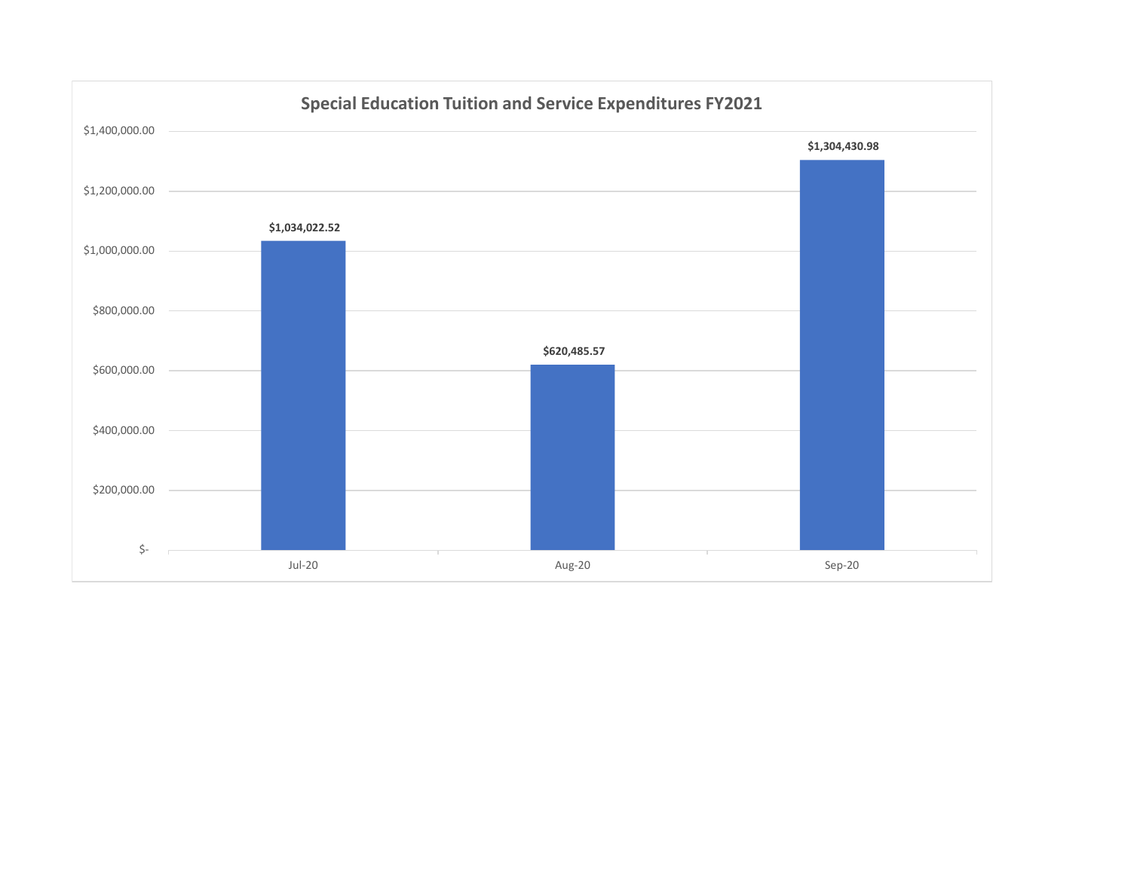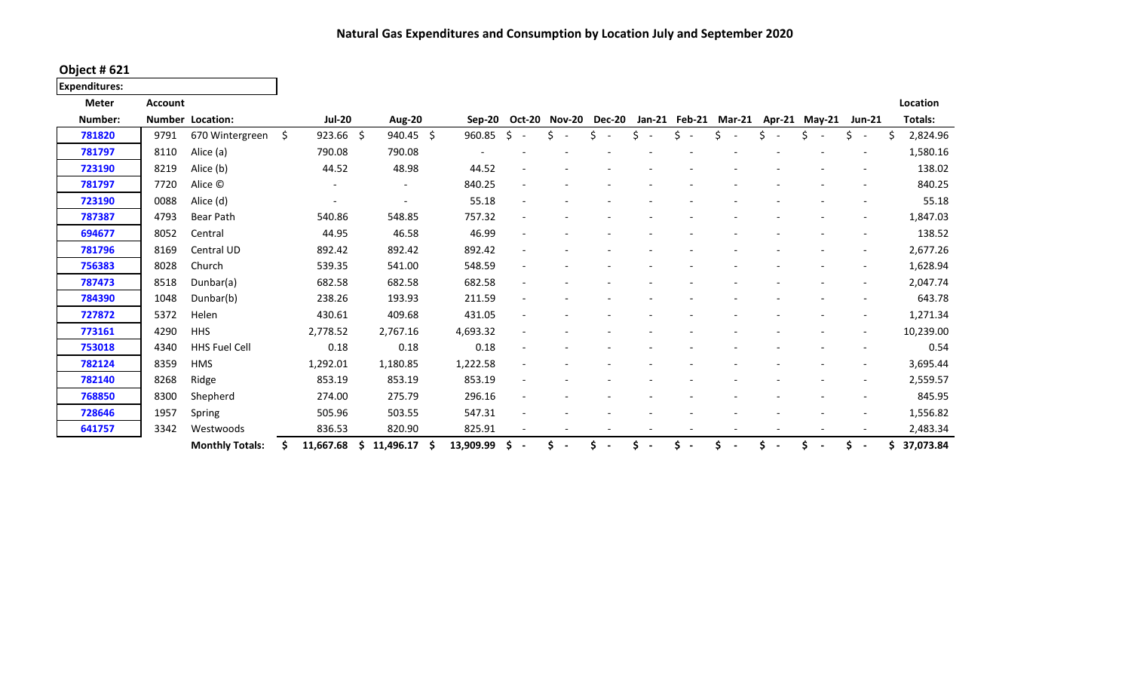**Natural Gas Expenditures and Consumption by Location July and September 2020**

**Object # 621**

**Expenditures:**

| <b>Meter</b> | <b>Account</b> |                         |    |                |    |                |    |           |                                 |    |                          |               |  |    |                                           |  |    |                          |   | Location  |
|--------------|----------------|-------------------------|----|----------------|----|----------------|----|-----------|---------------------------------|----|--------------------------|---------------|--|----|-------------------------------------------|--|----|--------------------------|---|-----------|
| Number:      |                | <b>Number Location:</b> |    | <b>Jul-20</b>  |    | <b>Aug-20</b>  |    | Sep-20    | <b>Oct-20 Nov-20</b>            |    |                          | <b>Dec-20</b> |  |    | Jan-21 Feb-21 Mar-21 Apr-21 May-21 Jun-21 |  |    |                          |   | Totals:   |
| 781820       | 9791           | 670 Wintergreen         | Ś. | $923.66$ \$    |    | 940.45 \$      |    | 960.85    | Ŝ.<br>$\overline{\phantom{a}}$  | Ś  | $\overline{\phantom{a}}$ |               |  | Ś. | Ś                                         |  | Ş. | $\overline{\phantom{a}}$ | Ś | 2,824.96  |
| 781797       | 8110           | Alice (a)               |    | 790.08         |    | 790.08         |    |           |                                 |    |                          |               |  |    |                                           |  |    |                          |   | 1,580.16  |
| 723190       | 8219           | Alice (b)               |    | 44.52          |    | 48.98          |    | 44.52     |                                 |    |                          |               |  |    |                                           |  |    |                          |   | 138.02    |
| 781797       | 7720           | Alice ©                 |    | $\blacksquare$ |    | $\blacksquare$ |    | 840.25    |                                 |    |                          |               |  |    |                                           |  |    |                          |   | 840.25    |
| 723190       | 0088           | Alice (d)               |    |                |    |                |    | 55.18     |                                 |    |                          |               |  |    |                                           |  |    |                          |   | 55.18     |
| 787387       | 4793           | Bear Path               |    | 540.86         |    | 548.85         |    | 757.32    |                                 |    |                          |               |  |    |                                           |  |    |                          |   | 1,847.03  |
| 694677       | 8052           | Central                 |    | 44.95          |    | 46.58          |    | 46.99     |                                 |    |                          |               |  |    |                                           |  |    |                          |   | 138.52    |
| 781796       | 8169           | Central UD              |    | 892.42         |    | 892.42         |    | 892.42    |                                 |    |                          |               |  |    |                                           |  |    |                          |   | 2,677.26  |
| 756383       | 8028           | Church                  |    | 539.35         |    | 541.00         |    | 548.59    |                                 |    |                          |               |  |    |                                           |  |    |                          |   | 1,628.94  |
| 787473       | 8518           | Dunbar(a)               |    | 682.58         |    | 682.58         |    | 682.58    |                                 |    |                          |               |  |    |                                           |  |    |                          |   | 2,047.74  |
| 784390       | 1048           | Dunbar(b)               |    | 238.26         |    | 193.93         |    | 211.59    |                                 |    |                          |               |  |    |                                           |  |    |                          |   | 643.78    |
| 727872       | 5372           | Helen                   |    | 430.61         |    | 409.68         |    | 431.05    |                                 |    |                          |               |  |    |                                           |  |    |                          |   | 1,271.34  |
| 773161       | 4290           | <b>HHS</b>              |    | 2,778.52       |    | 2,767.16       |    | 4,693.32  |                                 |    |                          |               |  |    |                                           |  |    |                          |   | 10,239.00 |
| 753018       | 4340           | <b>HHS Fuel Cell</b>    |    | 0.18           |    | 0.18           |    | 0.18      |                                 |    |                          |               |  |    |                                           |  |    |                          |   | 0.54      |
| 782124       | 8359           | <b>HMS</b>              |    | 1,292.01       |    | 1,180.85       |    | 1,222.58  |                                 |    |                          |               |  |    |                                           |  |    |                          |   | 3,695.44  |
| 782140       | 8268           | Ridge                   |    | 853.19         |    | 853.19         |    | 853.19    |                                 |    |                          |               |  |    |                                           |  |    |                          |   | 2,559.57  |
| 768850       | 8300           | Shepherd                |    | 274.00         |    | 275.79         |    | 296.16    |                                 |    |                          |               |  |    |                                           |  |    |                          |   | 845.95    |
| 728646       | 1957           | Spring                  |    | 505.96         |    | 503.55         |    | 547.31    |                                 |    |                          |               |  |    |                                           |  |    |                          |   | 1,556.82  |
| 641757       | 3342           | Westwoods               |    | 836.53         |    | 820.90         |    | 825.91    |                                 |    |                          |               |  |    |                                           |  |    |                          |   | 2,483.34  |
|              |                | <b>Monthly Totals:</b>  | Ŝ. | 11,667.68      | S. | 11,496.17      | -S | 13,909.99 | \$.<br>$\overline{\phantom{a}}$ | Ś. | $\overline{\phantom{a}}$ |               |  |    |                                           |  | Ś. | $\sim$                   |   | 37,073.84 |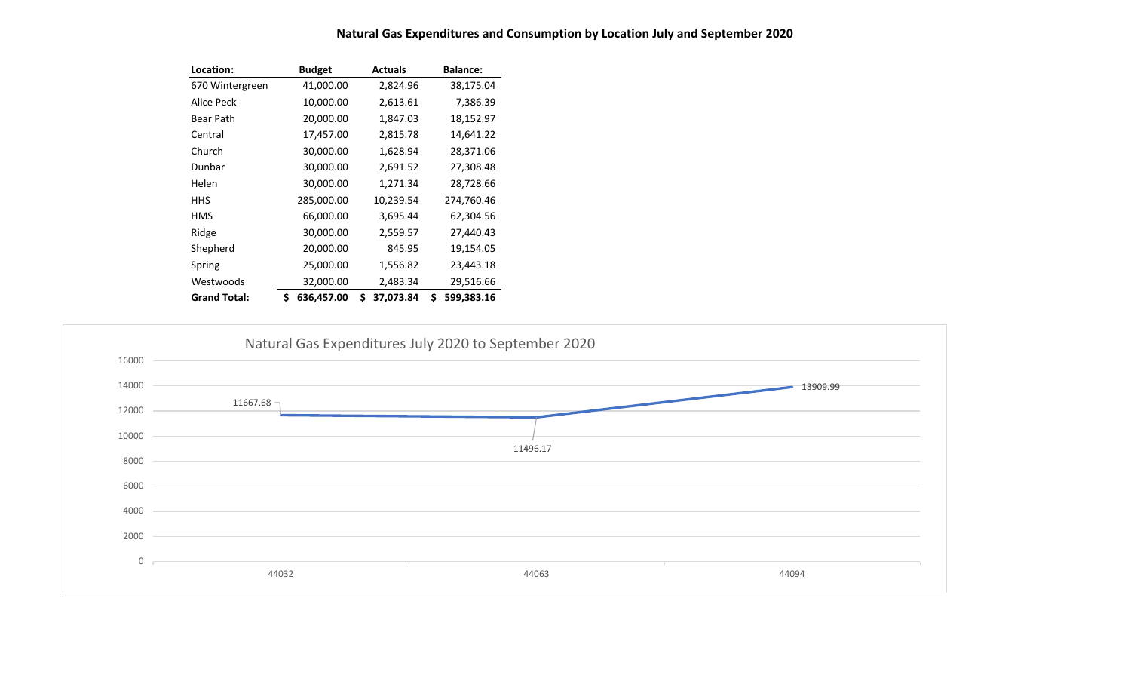| Location:           | <b>Budget</b>    | <b>Actuals</b>  | <b>Balance:</b>  |
|---------------------|------------------|-----------------|------------------|
| 670 Wintergreen     | 41,000.00        | 2,824.96        | 38,175.04        |
| Alice Peck          | 10,000.00        | 2,613.61        | 7,386.39         |
| Bear Path           | 20,000.00        | 1,847.03        | 18,152.97        |
| Central             | 17,457.00        | 2,815.78        | 14,641.22        |
| Church              | 30,000.00        | 1,628.94        | 28,371.06        |
| Dunbar              | 30,000.00        | 2,691.52        | 27,308.48        |
| Helen               | 30,000.00        | 1,271.34        | 28,728.66        |
| HHS                 | 285,000.00       | 10,239.54       | 274,760.46       |
| HMS                 | 66,000.00        | 3,695.44        | 62,304.56        |
| Ridge               | 30,000.00        | 2,559.57        | 27,440.43        |
| Shepherd            | 20,000.00        | 845.95          | 19,154.05        |
| Spring              | 25,000.00        | 1,556.82        | 23,443.18        |
| Westwoods           | 32,000.00        | 2,483.34        | 29,516.66        |
| <b>Grand Total:</b> | \$<br>636,457.00 | \$<br>37,073.84 | \$<br>599,383.16 |



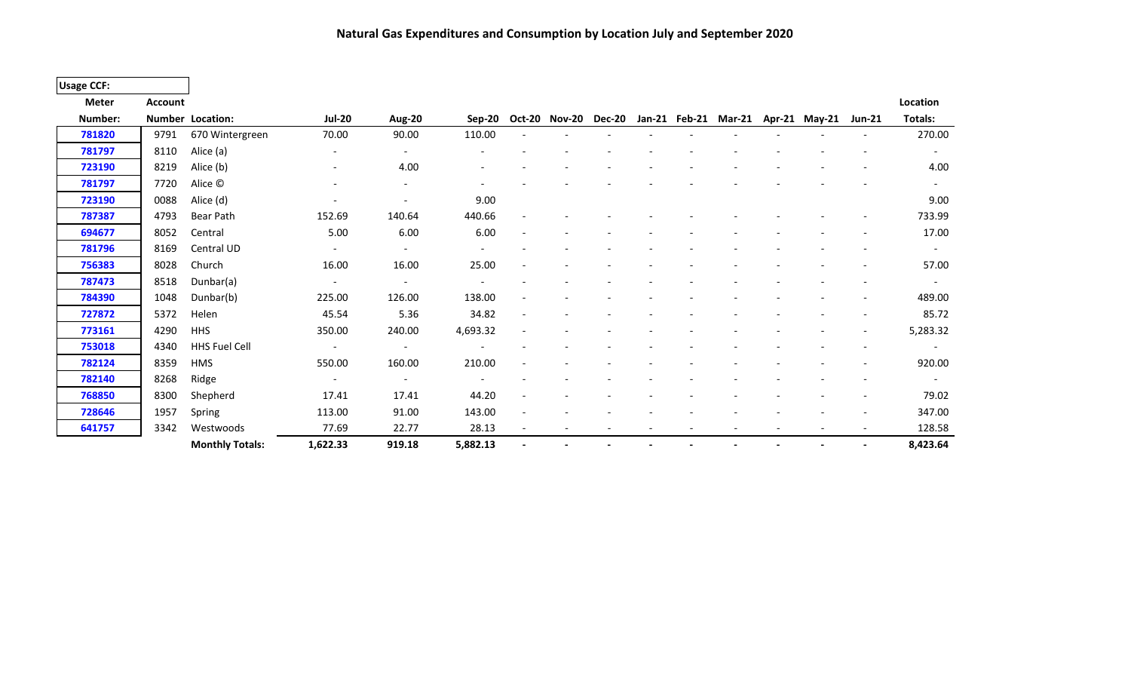**Natural Gas Expenditures and Consumption by Location July and September 2020**

| <b>Usage CCF:</b> |                |                         |                          |                          |                          |                          |                      |  |                      |                      |                          |                          |
|-------------------|----------------|-------------------------|--------------------------|--------------------------|--------------------------|--------------------------|----------------------|--|----------------------|----------------------|--------------------------|--------------------------|
| <b>Meter</b>      | <b>Account</b> |                         |                          |                          |                          |                          |                      |  |                      |                      |                          | Location                 |
| Number:           |                | <b>Number Location:</b> | <b>Jul-20</b>            | <b>Aug-20</b>            | Sep-20                   |                          | Oct-20 Nov-20 Dec-20 |  | Jan-21 Feb-21 Mar-21 | Apr-21 May-21 Jun-21 |                          | Totals:                  |
| 781820            | 9791           | 670 Wintergreen         | 70.00                    | 90.00                    | 110.00                   |                          |                      |  |                      |                      |                          | 270.00                   |
| 781797            | 8110           | Alice (a)               |                          |                          |                          |                          |                      |  |                      |                      |                          | $\overline{\phantom{a}}$ |
| 723190            | 8219           | Alice (b)               | $\overline{\phantom{a}}$ | 4.00                     |                          |                          |                      |  |                      |                      |                          | 4.00                     |
| 781797            | 7720           | Alice ©                 |                          |                          |                          |                          |                      |  |                      |                      |                          | $\overline{\phantom{a}}$ |
| 723190            | 0088           | Alice (d)               |                          |                          | 9.00                     |                          |                      |  |                      |                      |                          | 9.00                     |
| 787387            | 4793           | Bear Path               | 152.69                   | 140.64                   | 440.66                   |                          |                      |  |                      |                      |                          | 733.99                   |
| 694677            | 8052           | Central                 | 5.00                     | 6.00                     | 6.00                     |                          |                      |  |                      |                      |                          | 17.00                    |
| 781796            | 8169           | Central UD              | $\overline{\phantom{a}}$ |                          |                          |                          |                      |  |                      |                      |                          | $\overline{\phantom{a}}$ |
| 756383            | 8028           | Church                  | 16.00                    | 16.00                    | 25.00                    |                          |                      |  |                      |                      |                          | 57.00                    |
| 787473            | 8518           | Dunbar(a)               | $\overline{\phantom{a}}$ | $\overline{\phantom{a}}$ |                          |                          |                      |  |                      |                      |                          | $\overline{\phantom{a}}$ |
| 784390            | 1048           | Dunbar(b)               | 225.00                   | 126.00                   | 138.00                   |                          |                      |  |                      |                      |                          | 489.00                   |
| 727872            | 5372           | Helen                   | 45.54                    | 5.36                     | 34.82                    |                          |                      |  |                      |                      |                          | 85.72                    |
| 773161            | 4290           | <b>HHS</b>              | 350.00                   | 240.00                   | 4,693.32                 |                          |                      |  |                      |                      | $\overline{\phantom{a}}$ | 5,283.32                 |
| 753018            | 4340           | HHS Fuel Cell           | $\overline{\phantom{a}}$ | $\overline{\phantom{a}}$ |                          |                          |                      |  |                      |                      |                          |                          |
| 782124            | 8359           | <b>HMS</b>              | 550.00                   | 160.00                   | 210.00                   |                          |                      |  |                      |                      |                          | 920.00                   |
| 782140            | 8268           | Ridge                   | $\overline{\phantom{a}}$ | $\overline{\phantom{a}}$ | $\overline{\phantom{a}}$ |                          |                      |  |                      |                      |                          | $\overline{\phantom{a}}$ |
| 768850            | 8300           | Shepherd                | 17.41                    | 17.41                    | 44.20                    |                          |                      |  |                      |                      |                          | 79.02                    |
| 728646            | 1957           | Spring                  | 113.00                   | 91.00                    | 143.00                   |                          |                      |  |                      |                      |                          | 347.00                   |
| 641757            | 3342           | Westwoods               | 77.69                    | 22.77                    | 28.13                    | $\overline{\phantom{a}}$ |                      |  |                      |                      | $\overline{\phantom{a}}$ | 128.58                   |
|                   |                | <b>Monthly Totals:</b>  | 1,622.33                 | 919.18                   | 5,882.13                 |                          |                      |  |                      |                      | $\overline{\phantom{a}}$ | 8,423.64                 |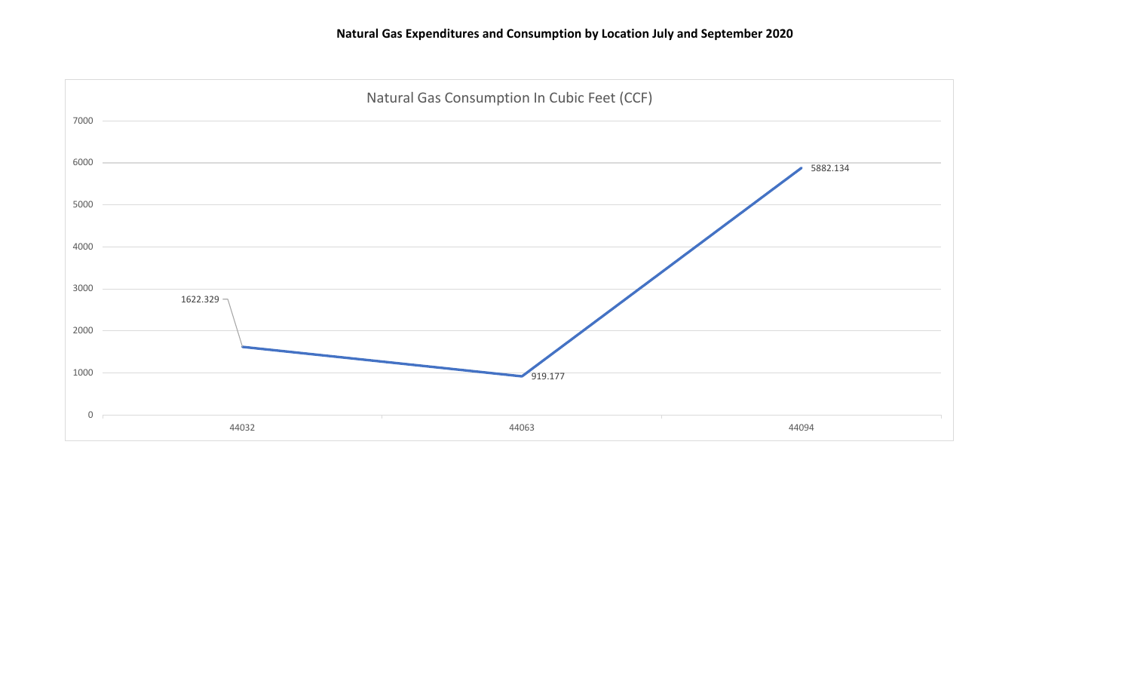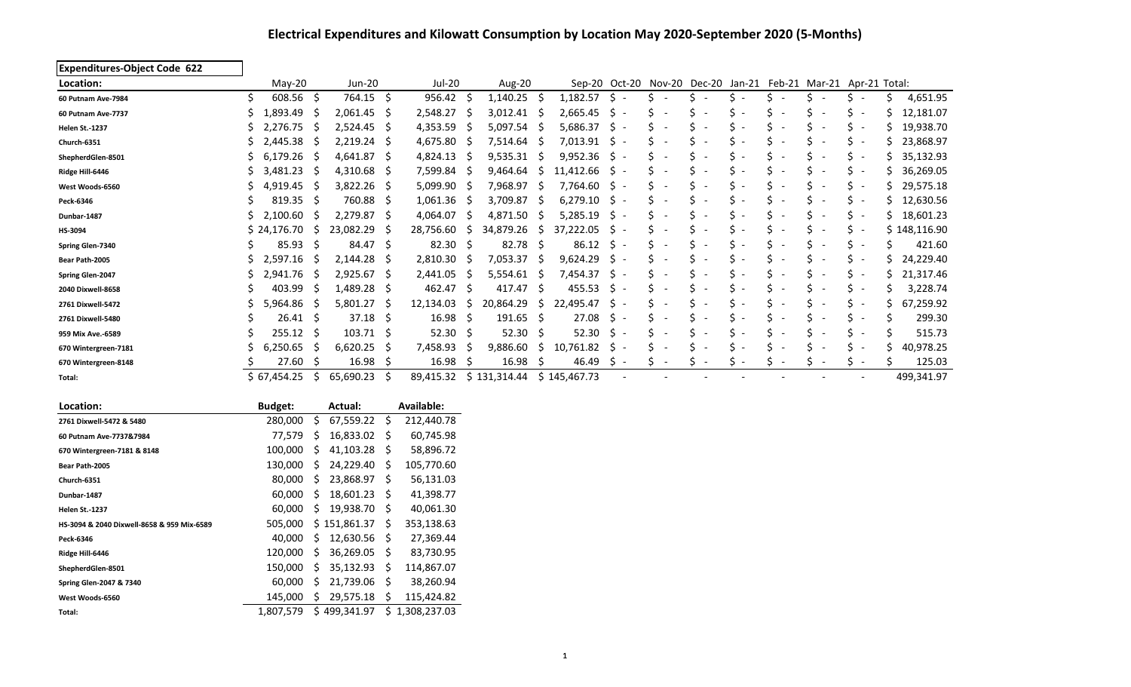# **Electrical Expenditures and Kilowatt Consumption by Location May 2020-September 2020 (5-Months)**

| <b>Expenditures-Object Code 622</b>        |                   |      |                  |     |                  |     |                    |     |              |                                |                               |                                                                |                                |                                |                          |    |                          |    |              |
|--------------------------------------------|-------------------|------|------------------|-----|------------------|-----|--------------------|-----|--------------|--------------------------------|-------------------------------|----------------------------------------------------------------|--------------------------------|--------------------------------|--------------------------|----|--------------------------|----|--------------|
| Location:                                  | May-20            |      | <b>Jun-20</b>    |     | Jul-20           |     | Aug-20             |     |              |                                |                               | Sep-20 Oct-20 Nov-20 Dec-20 Jan-21 Feb-21 Mar-21 Apr-21 Total: |                                |                                |                          |    |                          |    |              |
| 60 Putnam Ave-7984                         | Ŝ.<br>$608.56$ \$ |      | 764.15 \$        |     | $956.42 \quad $$ |     | $1,140.25$ \$      |     | 1,182.57     | \$ -                           | S                             | Ś.                                                             | s -                            | S.                             |                          | Ś. | $\overline{\phantom{a}}$ | S. | 4,651.95     |
| 60 Putnam Ave-7737                         | Ś<br>1,893.49     | S    | 2,061.45         | -\$ | $2,548.27$ \$    |     | $3,012.41$ \$      |     | 2,665.45     | \$                             | Ś                             | Ś                                                              | Ś                              | \$                             |                          | Ś. |                          |    | 12,181.07    |
| <b>Helen St.-1237</b>                      | 2,276.75          | .S   | $2,524.45$ \$    |     | 4,353.59         |     | $5,097.54$ \$      |     | 5,686.37     | $\zeta$ -                      | Ś.                            | Ś                                                              | Ś                              | \$                             |                          | Ś. | $\overline{\phantom{a}}$ |    | 19,938.70    |
| Church-6351                                | 2,445.38          | -S   | $2,219.24$ \$    |     | 4,675.80         | -S  | 7,514.64 \$        |     | 7,013.91     | $\zeta$ -                      | \$                            | Ś                                                              | Ś.                             | \$                             |                          | Ś. | - -                      |    | 23,868.97    |
| ShepherdGlen-8501                          | 6,179.26          | .S   | 4,641.87         | -S  | 4,824.13         |     | 9,535.31           | -S  | 9,952.36     | S.                             | Ś                             | Ś                                                              | Ś                              | \$                             |                          | Ś  | $\overline{\phantom{a}}$ |    | 35,132.93    |
| Ridge Hill-6446                            | 3,481.23          | -S   | 4,310.68         | -\$ | 7,599.84         |     | 9,464.64           | -S  | 11,412.66    | \$                             | Ś                             | Ś                                                              |                                | \$                             |                          | \$ | $\overline{\phantom{a}}$ |    | 36,269.05    |
| West Woods-6560                            | 4,919.45          | -S   | 3,822.26         | - S | 5,099.90         |     | 7,968.97 \$        |     | 7,764.60     | S.                             | Ś                             | Ś                                                              |                                | \$                             |                          | \$ | $\overline{\phantom{a}}$ |    | 29,575.18    |
| Peck-6346                                  | 819.35            | -\$  | 760.88           | -S  | 1,061.36         | -S  | 3,709.87           | -S  | 6,279.10     | \$.                            | Ś                             | Ś                                                              |                                | \$                             | $\overline{\phantom{a}}$ | Ś  | $\overline{\phantom{a}}$ |    | 12,630.56    |
| Dunbar-1487                                | 2,100.60          | S    | 2,279.87 \$      |     | 4,064.07         | -S  | 4,871.50           | -S  | 5,285.19     | \$.                            | Ś<br>$\overline{\phantom{0}}$ | Ś                                                              |                                | \$                             | $\overline{\phantom{a}}$ | Ś  | $\overline{\phantom{a}}$ |    | 18,601.23    |
| HS-3094                                    | \$24,176.70       | S.   | 23,082.29        | -S  | 28,756.60        | S   | 34,879.26          | -S  | 37,222.05    | S.                             | Ś                             | Ś                                                              |                                | \$                             | $\overline{\phantom{a}}$ | Ś  | $\overline{\phantom{a}}$ |    | \$148,116.90 |
| Spring Glen-7340                           | 85.93             | S    | 84.47 \$         |     | 82.30            | -S  | 82.78              | - S | 86.12        | S.                             | Ś<br>$\overline{\phantom{a}}$ | Ś<br>$\overline{\phantom{a}}$                                  |                                | \$                             | $\overline{\phantom{a}}$ | Ś. |                          |    | 421.60       |
| Bear Path-2005                             | 2,597.16          | -S   | 2,144.28         | -S  | 2,810.30         | -S  | 7,053.37           | -S  | 9,624.29     | S                              | Ś                             | Ś<br>$\overline{\phantom{a}}$                                  |                                | \$                             | $\overline{\phantom{a}}$ | Ś  | $\overline{\phantom{a}}$ |    | 24,229.40    |
| Spring Glen-2047                           | 2,941.76<br>S     | -S   | $2,925.67$ \$    |     | 2,441.05         | S   | 5,554.61           | -S  | 7,454.37     | \$.                            | \$                            | Ś                                                              |                                | \$                             |                          | Ś  |                          | S  | 21,317.46    |
| 2040 Dixwell-8658                          | 403.99            | S    | 1,489.28         | - S | 462.47           | -S  | 417.47 \$          |     | 455.53       | S.                             | Ś                             | Ś                                                              | Ś                              | \$                             |                          | S  | $\overline{\phantom{a}}$ | s  | 3,228.74     |
| 2761 Dixwell-5472                          | S<br>5,964.86     | -S   | 5,801.27         | -Ş  | 12,134.03        | \$. | 20,864.29          | S   | 22,495.47    | S                              | Ś                             | Ś                                                              |                                | \$                             |                          | Ś  | $\overline{\phantom{a}}$ | \$ | 67,259.92    |
| 2761 Dixwell-5480                          | 26.41 S           |      | 37.18            | -S  | 16.98            | -S  | $191.65 \quad$ \$  |     | 27.08        | \$.                            | Ś                             | Ś                                                              |                                | \$                             |                          | S  |                          | Ś  | 299.30       |
| 959 Mix Ave.-6589                          | Ś<br>255.12       | -\$  | $103.71 \quad $$ |     | 52.30            | -\$ | $52.30\frac{1}{2}$ |     | 52.30        | \$                             | Ś                             | Ś                                                              | Ś                              | \$                             |                          | \$ | $\overline{\phantom{a}}$ | Ś  | 515.73       |
| 670 Wintergreen-7181                       | S<br>6,250.65     | S    | 6,620.25         | -S  | 7,458.93         | S   | 9,886.60           | S   | 10,761.82    | S.<br>$\overline{\phantom{a}}$ | Ś<br>$\overline{\phantom{0}}$ | Ś<br>$\overline{\phantom{a}}$                                  | Ŝ.<br>$\overline{\phantom{a}}$ | \$<br>$\overline{\phantom{a}}$ | $\overline{\phantom{a}}$ | \$ | $\overline{a}$           | Ś  | 40,978.25    |
| 670 Wintergreen-8148                       | 27.60             | S    | 16.98            | S   | 16.98            |     | 16.98              | S   | 46.49        | S<br>$\overline{\phantom{a}}$  | Ś<br>$\overline{\phantom{a}}$ | Ś<br>$\overline{\phantom{a}}$                                  | $\overline{\phantom{a}}$       | Ś.                             | $\overline{\phantom{a}}$ | Ś  | $\overline{\phantom{a}}$ | Ś  | 125.03       |
| Total:                                     | \$67,454.25       | \$.  | 65,690.23        | -\$ | 89,415.32        |     | \$131,314.44       |     | \$145,467.73 |                                |                               |                                                                |                                |                                |                          |    |                          |    | 499,341.97   |
|                                            |                   |      |                  |     |                  |     |                    |     |              |                                |                               |                                                                |                                |                                |                          |    |                          |    |              |
| Location:                                  | <b>Budget:</b>    |      | Actual:          |     | Available:       |     |                    |     |              |                                |                               |                                                                |                                |                                |                          |    |                          |    |              |
| 2761 Dixwell-5472 & 5480                   | 280,000           | S    | $67,559.22$ \$   |     | 212,440.78       |     |                    |     |              |                                |                               |                                                                |                                |                                |                          |    |                          |    |              |
| 60 Putnam Ave-7737&7984                    | 77,579            | \$.  | 16,833.02 \$     |     | 60,745.98        |     |                    |     |              |                                |                               |                                                                |                                |                                |                          |    |                          |    |              |
| 670 Wintergreen-7181 & 8148                | 100,000           | \$.  | 41,103.28        | -Ş  | 58,896.72        |     |                    |     |              |                                |                               |                                                                |                                |                                |                          |    |                          |    |              |
| Bear Path-2005                             | 130,000 \$        |      | 24,229.40        | - S | 105,770.60       |     |                    |     |              |                                |                               |                                                                |                                |                                |                          |    |                          |    |              |
| Church-6351                                | 80,000 \$         |      | 23,868.97 \$     |     | 56,131.03        |     |                    |     |              |                                |                               |                                                                |                                |                                |                          |    |                          |    |              |
| Dunbar-1487                                | 60,000            | S.   | 18,601.23        | -S  | 41,398.77        |     |                    |     |              |                                |                               |                                                                |                                |                                |                          |    |                          |    |              |
| <b>Helen St.-1237</b>                      | 60,000            | S.   | 19,938.70        | - Ş | 40,061.30        |     |                    |     |              |                                |                               |                                                                |                                |                                |                          |    |                          |    |              |
| HS-3094 & 2040 Dixwell-8658 & 959 Mix-6589 | 505,000           |      | \$151,861.37     | -Ş  | 353,138.63       |     |                    |     |              |                                |                               |                                                                |                                |                                |                          |    |                          |    |              |
| Peck-6346                                  | 40,000            | - \$ | 12,630.56        | Ş   | 27,369.44        |     |                    |     |              |                                |                               |                                                                |                                |                                |                          |    |                          |    |              |
| Ridge Hill-6446                            | 120,000           | S.   | 36,269.05        | -Ş  | 83,730.95        |     |                    |     |              |                                |                               |                                                                |                                |                                |                          |    |                          |    |              |
| ShepherdGlen-8501                          | 150,000           | S.   | 35,132.93        | S   | 114,867.07       |     |                    |     |              |                                |                               |                                                                |                                |                                |                          |    |                          |    |              |
| Spring Glen-2047 & 7340                    | 60,000            | \$.  | 21,739.06        | -S  | 38,260.94        |     |                    |     |              |                                |                               |                                                                |                                |                                |                          |    |                          |    |              |
| West Woods-6560                            | 145,000           | \$   | 29,575.18        | Ś   | 115,424.82       |     |                    |     |              |                                |                               |                                                                |                                |                                |                          |    |                          |    |              |

Total: Total: 1,807,579 \$ 499,341.97 \$ 1,308,237.03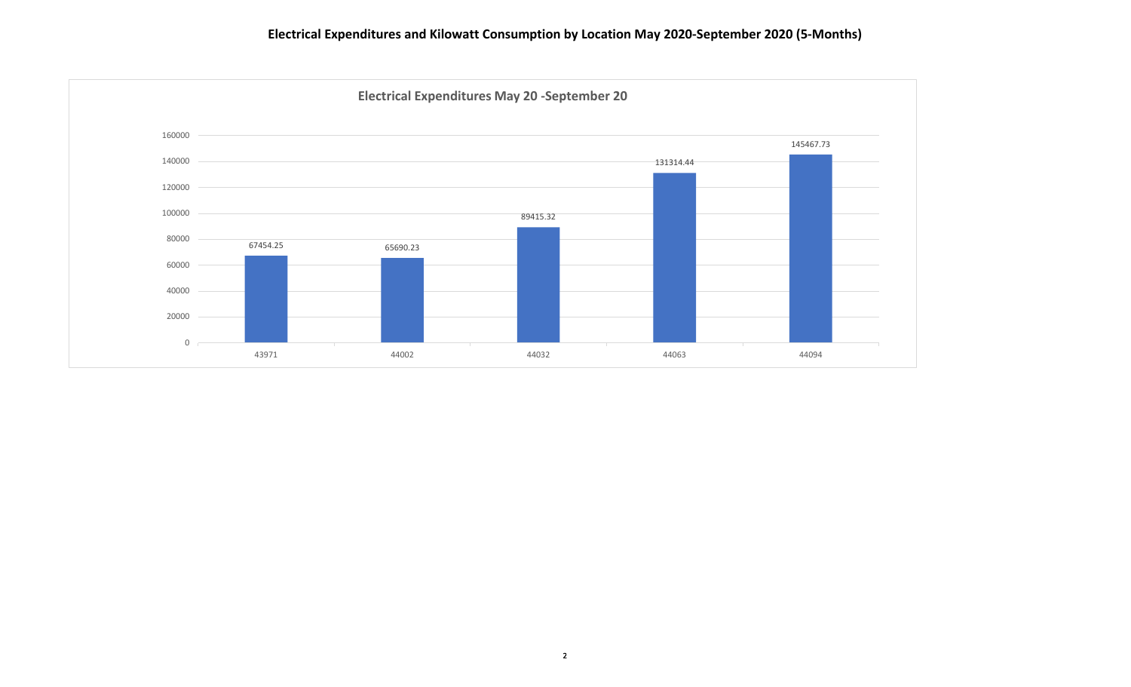## **Electrical Expenditures and Kilowatt Consumption by Location May 2020-September 2020 (5-Months)**

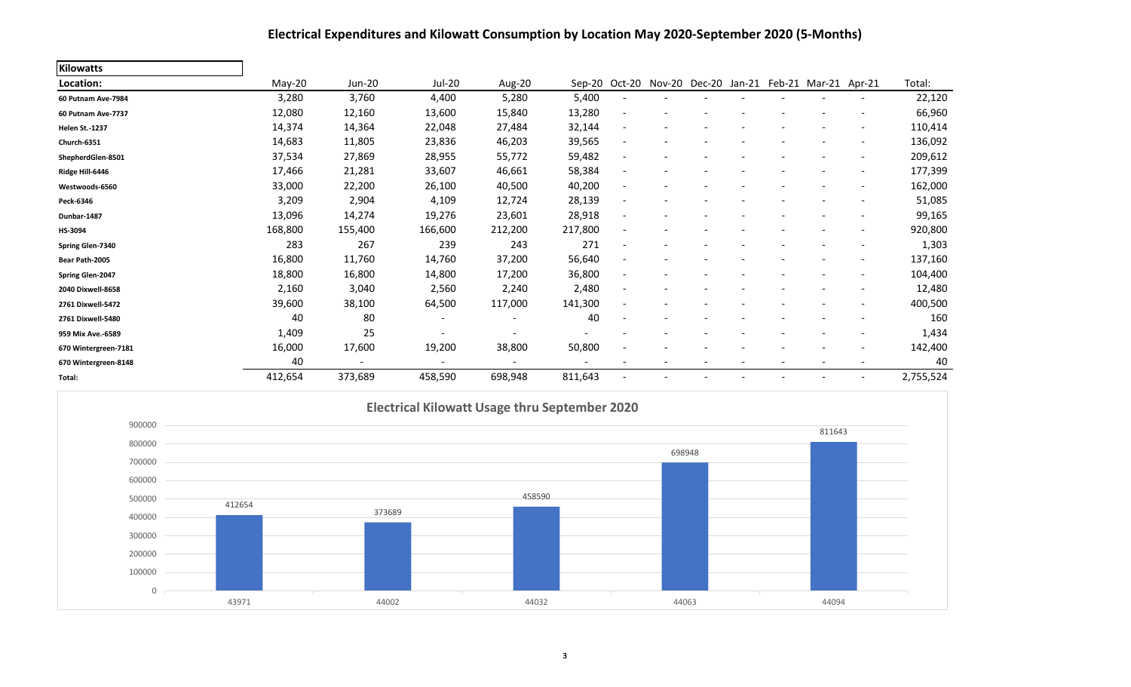## **Electrical Expenditures and Kilowatt Consumption by Location May 2020-September 2020 (5-Months)**

| <b>Kilowatts</b>      |         |                          |                              |                          |         |                          |                      |        |               |                          |           |
|-----------------------|---------|--------------------------|------------------------------|--------------------------|---------|--------------------------|----------------------|--------|---------------|--------------------------|-----------|
| Location:             | May-20  | Jun-20                   | Jul-20                       | Aug-20                   | Sep-20  |                          | Oct-20 Nov-20 Dec-20 | Jan-21 | Feb-21 Mar-21 | Apr-21                   | Total:    |
| 60 Putnam Ave-7984    | 3,280   | 3,760                    | 4,400                        | 5,280                    | 5,400   |                          |                      |        |               |                          | 22,120    |
| 60 Putnam Ave-7737    | 12,080  | 12,160                   | 13,600                       | 15,840                   | 13,280  |                          |                      |        |               |                          | 66,960    |
| <b>Helen St.-1237</b> | 14,374  | 14,364                   | 22,048                       | 27,484                   | 32,144  | $\overline{\phantom{a}}$ |                      |        |               |                          | 110,414   |
| Church-6351           | 14,683  | 11,805                   | 23,836                       | 46,203                   | 39,565  | $\overline{\phantom{a}}$ |                      |        |               |                          | 136,092   |
| ShepherdGlen-8501     | 37,534  | 27,869                   | 28,955                       | 55,772                   | 59,482  | $\overline{\phantom{a}}$ |                      |        |               |                          | 209,612   |
| Ridge Hill-6446       | 17,466  | 21,281                   | 33,607                       | 46,661                   | 58,384  | $\overline{\phantom{a}}$ |                      |        |               |                          | 177,399   |
| Westwoods-6560        | 33,000  | 22,200                   | 26,100                       | 40,500                   | 40,200  |                          |                      |        |               | $\overline{\phantom{a}}$ | 162,000   |
| Peck-6346             | 3,209   | 2,904                    | 4,109                        | 12,724                   | 28,139  | $\overline{\phantom{a}}$ |                      |        |               |                          | 51,085    |
| Dunbar-1487           | 13,096  | 14,274                   | 19,276                       | 23,601                   | 28,918  | $\overline{\phantom{a}}$ |                      |        |               |                          | 99,165    |
| HS-3094               | 168,800 | 155,400                  | 166,600                      | 212,200                  | 217,800 | ٠                        |                      |        |               |                          | 920,800   |
| Spring Glen-7340      | 283     | 267                      | 239                          | 243                      | 271     |                          |                      |        |               |                          | 1,303     |
| Bear Path-2005        | 16,800  | 11,760                   | 14,760                       | 37,200                   | 56,640  | $\overline{\phantom{0}}$ |                      |        |               |                          | 137,160   |
| Spring Glen-2047      | 18,800  | 16,800                   | 14,800                       | 17,200                   | 36,800  | $\overline{\phantom{a}}$ |                      |        |               |                          | 104,400   |
| 2040 Dixwell-8658     | 2,160   | 3,040                    | 2,560                        | 2,240                    | 2,480   | $\overline{\phantom{a}}$ |                      |        |               | $\overline{\phantom{a}}$ | 12,480    |
| 2761 Dixwell-5472     | 39,600  | 38,100                   | 64,500                       | 117,000                  | 141,300 | $\overline{\phantom{a}}$ |                      |        |               | $\overline{\phantom{a}}$ | 400,500   |
| 2761 Dixwell-5480     | 40      | 80                       | $\qquad \qquad \blacksquare$ |                          | 40      |                          |                      |        |               |                          | 160       |
| 959 Mix Ave.-6589     | 1,409   | 25                       |                              |                          |         |                          |                      |        |               |                          | 1,434     |
| 670 Wintergreen-7181  | 16,000  | 17,600                   | 19,200                       | 38,800                   | 50,800  | ٠                        |                      |        |               |                          | 142,400   |
| 670 Wintergreen-8148  | 40      | $\overline{\phantom{a}}$ | $\overline{\phantom{a}}$     | $\overline{\phantom{a}}$ |         |                          |                      |        |               |                          | 40        |
| Total:                | 412,654 | 373,689                  | 458,590                      | 698,948                  | 811,643 |                          |                      |        |               |                          | 2,755,524 |

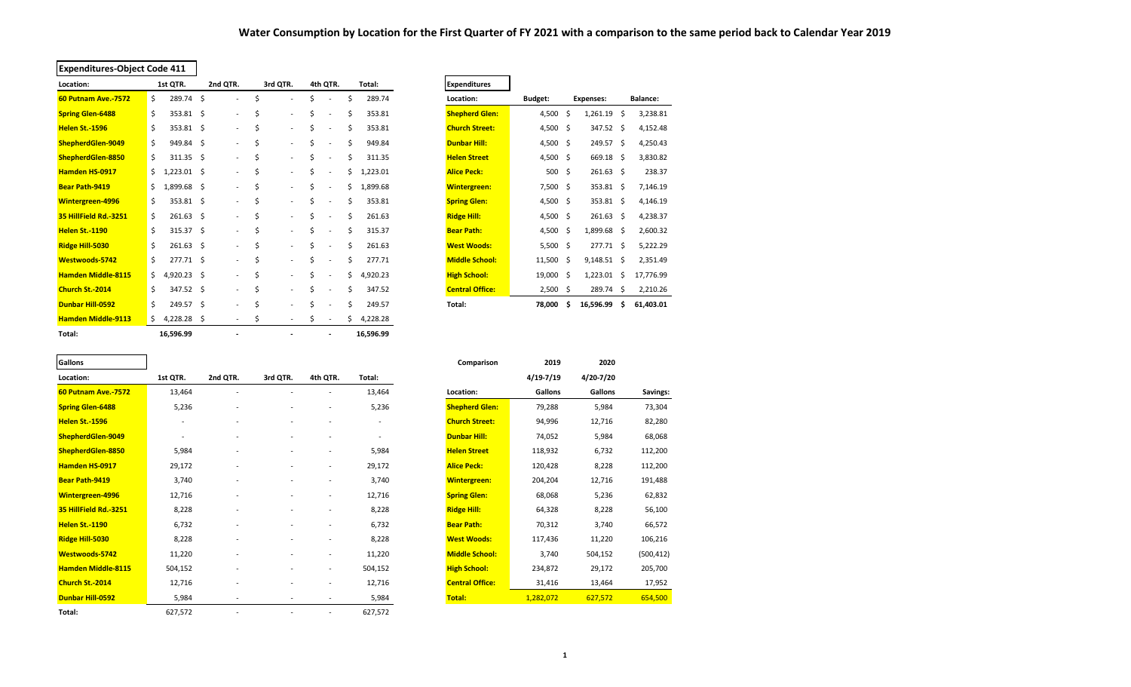### **Water Consumption by Location for the First Quarter of FY 2021 with a comparison to the same period back to Calendar Year 2019**

| <b>Expenditures-Object Code 411</b> |                     |                |                                |                          |    |                          |    |           |                        |            |     |                  |     |                 |
|-------------------------------------|---------------------|----------------|--------------------------------|--------------------------|----|--------------------------|----|-----------|------------------------|------------|-----|------------------|-----|-----------------|
| Location:                           | 1st QTR.            | 2nd QTR.       |                                | 3rd QTR.                 |    | 4th QTR.                 |    | Total:    | <b>Expenditures</b>    |            |     |                  |     |                 |
| <b>60 Putnam Ave.-7572</b>          | \$<br>289.74        | \$             | Ś<br>٠                         |                          | \$ |                          | Ś. | 289.74    | Location:              | Budget:    |     | <b>Expenses:</b> |     | <b>Balance:</b> |
| <b>Spring Glen-6488</b>             | \$<br>353.81 \$     |                | \$<br>÷.                       | $\sim$                   | \$ | ٠                        | Ś  | 353.81    | <b>Shepherd Glen:</b>  | 4,500      | \$. | 1,261.19         | \$  | 3,238.81        |
| <b>Helen St.-1596</b>               | \$<br>353.81 \$     |                | \$<br>$\overline{\phantom{a}}$ | $\overline{\phantom{a}}$ | \$ |                          | Ś. | 353.81    | <b>Church Street:</b>  | 4,500 \$   |     | 347.52           | -Ś  | 4,152.48        |
| ShepherdGlen-9049                   | \$<br>949.84        | \$             | \$<br>$\sim$                   | $\overline{\phantom{a}}$ | \$ |                          | Ś  | 949.84    | <b>Dunbar Hill:</b>    | 4,500 \$   |     | 249.57           | -Ś  | 4,250.43        |
| ShepherdGlen-8850                   | \$<br>311.35 \$     |                | \$<br>$\overline{\phantom{a}}$ | $\sim$                   | \$ |                          | Ś. | 311.35    | <b>Helen Street</b>    | 4,500 \$   |     | 669.18 \$        |     | 3,830.82        |
| <b>Hamden HS-0917</b>               | \$<br>$1,223.01$ \$ |                | \$<br>$\overline{\phantom{a}}$ | $\sim$                   | Ś  | ٠                        | \$ | 1,223.01  | <b>Alice Peck:</b>     | $500 \div$ |     | $261.63$ \$      |     | 238.37          |
| <b>Bear Path-9419</b>               | \$<br>1,899.68      | \$             | \$<br>۰.                       | $\overline{\phantom{a}}$ | Ś  |                          | \$ | 1,899.68  | <b>Wintergreen:</b>    | $7,500$ \$ |     | 353.81 \$        |     | 7,146.19        |
| <b>Wintergreen-4996</b>             | \$<br>353.81 \$     |                | \$<br>$\frac{1}{2}$            | $\blacksquare$           | \$ |                          | \$ | 353.81    | <b>Spring Glen:</b>    | 4,500 \$   |     | 353.81 \$        |     | 4,146.19        |
| 35 HillField Rd.-3251               | \$<br>261.63        | \$             | Ś<br>$\overline{\phantom{0}}$  | $\sim$                   | \$ |                          | Ś  | 261.63    | <b>Ridge Hill:</b>     | 4,500 \$   |     | 261.63           | - Ś | 4,238.37        |
| <b>Helen St.-1190</b>               | \$<br>$315.37$ \$   |                | \$<br>÷.                       | $\sim$                   | Ś  |                          | Ś  | 315.37    | <b>Bear Path:</b>      | 4,500      | -\$ | 1,899.68 \$      |     | 2,600.32        |
| Ridge Hill-5030                     | \$<br>261.63        | \$             | Ś<br>$\overline{\phantom{0}}$  | $\overline{\phantom{a}}$ | Ś  |                          | \$ | 261.63    | <b>West Woods:</b>     | $5,500$ \$ |     | 277.71           | - Ś | 5,222.29        |
| Westwoods-5742                      | \$<br>277.71 \$     |                | Ś<br>$\overline{\phantom{0}}$  | $\overline{\phantom{a}}$ | \$ |                          | Ś  | 277.71    | <b>Middle School:</b>  | 11,500     | -\$ | $9,148.51$ \$    |     | 2,351.49        |
| <b>Hamden Middle-8115</b>           | \$<br>$4,920.23$ \$ |                | \$<br>$\overline{\phantom{0}}$ | $\overline{\phantom{a}}$ | \$ |                          | \$ | 4,920.23  | <b>High School:</b>    | 19,000 \$  |     | 1,223.01         | .s  | 17,776.99       |
| Church St.-2014                     | \$<br>347.52 \$     |                | Ś<br>÷.                        | $\overline{\phantom{a}}$ | Ś  |                          | Ś  | 347.52    | <b>Central Office:</b> | $2,500$ \$ |     | 289.74           | -\$ | 2,210.26        |
| <b>Dunbar Hill-0592</b>             | \$<br>249.57 \$     |                | Ś<br>$\overline{\phantom{0}}$  | $\overline{\phantom{a}}$ | Ś  |                          | Ś  | 249.57    | Total:                 | 78,000     | S   | 16,596.99        | Ŝ   | 61,403.01       |
| <b>Hamden Middle-9113</b>           | $4,228.28$ \$<br>\$ |                | \$<br>$\sim$                   |                          | Ś. |                          | Ś  | 4,228.28  |                        |            |     |                  |     |                 |
| Total:                              | 16,596.99           | $\blacksquare$ |                                |                          |    | $\overline{\phantom{a}}$ |    | 16,596.99 |                        |            |     |                  |     |                 |

| <b>Expenditures</b>    |         |    |                  |                |                 |  |
|------------------------|---------|----|------------------|----------------|-----------------|--|
| Location:              | Budget: |    | <b>Expenses:</b> |                | <b>Balance:</b> |  |
| <b>Shepherd Glen:</b>  | 4,500   | \$ | 1,261.19         | \$<br>3,238.81 |                 |  |
| <b>Church Street:</b>  | 4,500   | \$ | 347.52           | \$             | 4,152.48        |  |
| <b>Dunbar Hill:</b>    | 4,500   | Ś  | 249.57           | \$             | 4,250.43        |  |
| <b>Helen Street</b>    | 4,500   | \$ | 669.18           | \$             | 3,830.82        |  |
| <b>Alice Peck:</b>     | 500     | Ś  | 261.63           | Ś              | 238.37          |  |
| <b>Wintergreen:</b>    | 7,500   | Ś  | 353.81           | \$             | 7,146.19        |  |
| <b>Spring Glen:</b>    | 4,500   | \$ | 353.81           | \$             | 4,146.19        |  |
| <b>Ridge Hill:</b>     | 4,500   | Ś  | 261.63           | Ś              | 4,238.37        |  |
| <b>Bear Path:</b>      | 4,500   | Ś  | 1,899.68         | \$             | 2,600.32        |  |
| <b>West Woods:</b>     | 5,500   | \$ | 277.71           | \$             | 5,222.29        |  |
| <b>Middle School:</b>  | 11,500  | Ś  | 9,148.51         | \$             | 2,351.49        |  |
| <b>High School:</b>    | 19,000  | Ś  | 1,223.01         | \$             | 17,776.99       |  |
| <b>Central Office:</b> | 2,500   | \$ | 289.74           | \$             | 2,210.26        |  |
| Total:                 | 78,000  | Ś  | 16,596.99        | Ś              | 61,403.01       |  |

| Gallons |  |
|---------|--|

| <b>Janung</b>              |                          |          |                          |                          |                          | companioun             | ---           | 2020      |            |
|----------------------------|--------------------------|----------|--------------------------|--------------------------|--------------------------|------------------------|---------------|-----------|------------|
| Location:                  | 1st QTR.                 | 2nd QTR. | 3rd QTR.                 | 4th QTR.                 | Total:                   |                        | $4/19 - 7/19$ | 4/20-7/20 |            |
| <b>60 Putnam Ave.-7572</b> | 13,464                   |          |                          |                          | 13,464                   | Location:              | Gallons       | Gallons   | Savings:   |
| <b>Spring Glen-6488</b>    | 5,236                    |          | ٠                        |                          | 5,236                    | <b>Shepherd Glen:</b>  | 79,288        | 5,984     | 73,304     |
| <b>Helen St.-1596</b>      | $\overline{\phantom{a}}$ | ٠        | $\overline{\phantom{a}}$ | $\overline{\phantom{a}}$ | $\overline{\phantom{a}}$ | <b>Church Street:</b>  | 94,996        | 12,716    | 82,280     |
| ShepherdGlen-9049          |                          |          |                          |                          |                          | Dunbar Hill:           | 74,052        | 5,984     | 68,068     |
| ShepherdGlen-8850          | 5,984                    |          |                          |                          | 5,984                    | <b>Helen Street</b>    | 118,932       | 6,732     | 112,200    |
| Hamden HS-0917             | 29,172                   |          |                          | $\overline{\phantom{a}}$ | 29,172                   | <b>Alice Peck:</b>     | 120,428       | 8,228     | 112,200    |
| <b>Bear Path-9419</b>      | 3,740                    |          |                          |                          | 3,740                    | <b>Wintergreen:</b>    | 204,204       | 12,716    | 191,488    |
| <b>Wintergreen-4996</b>    | 12,716                   |          | ۰                        | $\overline{\phantom{a}}$ | 12,716                   | <b>Spring Glen:</b>    | 68,068        | 5,236     | 62,832     |
| 35 HillField Rd.-3251      | 8,228                    |          | $\overline{\phantom{a}}$ |                          | 8,228                    | <b>Ridge Hill:</b>     | 64,328        | 8,228     | 56,100     |
| <b>Helen St.-1190</b>      | 6,732                    |          |                          |                          | 6,732                    | <b>Bear Path:</b>      | 70,312        | 3,740     | 66,572     |
| Ridge Hill-5030            | 8,228                    |          |                          |                          | 8,228                    | <b>West Woods:</b>     | 117,436       | 11,220    | 106,216    |
| Westwoods-5742             | 11,220                   |          | ۰                        | $\overline{\phantom{a}}$ | 11,220                   | <b>Middle School:</b>  | 3,740         | 504,152   | (500, 412) |
| <b>Hamden Middle-8115</b>  | 504,152                  |          |                          | $\overline{\phantom{a}}$ | 504,152                  | <b>High School:</b>    | 234,872       | 29,172    | 205,700    |
| Church St.-2014            | 12,716                   |          |                          | $\overline{\phantom{a}}$ | 12,716                   | <b>Central Office:</b> | 31,416        | 13,464    | 17,952     |
| <b>Dunbar Hill-0592</b>    | 5,984                    | ٠        | $\overline{\phantom{a}}$ | $\overline{\phantom{a}}$ | 5,984                    | Total:                 | 1,282,072     | 627,572   | 654,500    |
| Total:                     | 627,572                  |          |                          |                          | 627,572                  |                        |               |           |            |

| 2nd QTR.<br>4/19-7/19<br>4/20-7/20<br>1st QTR.<br>3rd QTR.<br>4th QTR.<br>Location:<br>Total:<br>13,464<br>Gallons<br>60 Putnam Ave.-7572<br>13,464<br>Location:<br>Gallons<br>٠<br>5,236<br><b>Shepherd Glen:</b><br>5,236<br>79,288<br>5,984<br><b>Spring Glen-6488</b><br>٠<br><b>Church Street:</b><br>94,996<br>12,716<br>Helen St.-1596<br>$\overline{\phantom{a}}$<br>$\overline{\phantom{a}}$<br>۰<br>۰<br>ShepherdGlen-9049<br><b>Dunbar Hill:</b><br>74,052<br>5,984 |            |
|--------------------------------------------------------------------------------------------------------------------------------------------------------------------------------------------------------------------------------------------------------------------------------------------------------------------------------------------------------------------------------------------------------------------------------------------------------------------------------|------------|
|                                                                                                                                                                                                                                                                                                                                                                                                                                                                                |            |
|                                                                                                                                                                                                                                                                                                                                                                                                                                                                                | Savings:   |
|                                                                                                                                                                                                                                                                                                                                                                                                                                                                                | 73,304     |
|                                                                                                                                                                                                                                                                                                                                                                                                                                                                                | 82,280     |
|                                                                                                                                                                                                                                                                                                                                                                                                                                                                                | 68,068     |
| 5,984<br>5,984<br>ShepherdGlen-8850<br><b>Helen Street</b><br>118,932<br>6,732                                                                                                                                                                                                                                                                                                                                                                                                 | 112,200    |
| 29,172<br>Hamden HS-0917<br>29,172<br><b>Alice Peck:</b><br>120,428<br>8,228                                                                                                                                                                                                                                                                                                                                                                                                   | 112,200    |
| 3,740<br>204,204<br>12,716<br><b>Bear Path-9419</b><br>3,740<br><b>Wintergreen:</b><br>$\overline{\phantom{a}}$<br>٠<br>$\overline{\phantom{a}}$                                                                                                                                                                                                                                                                                                                               | 191,488    |
| 12,716<br>12,716<br><b>Spring Glen:</b><br>68,068<br>Wintergreen-4996<br>5,236<br>٠                                                                                                                                                                                                                                                                                                                                                                                            | 62,832     |
| 35 HillField Rd.-3251<br>8,228<br>8,228<br><b>Ridge Hill:</b><br>64,328<br>8,228                                                                                                                                                                                                                                                                                                                                                                                               | 56,100     |
| 6,732<br>6,732<br>70,312<br>3,740<br>Helen St.-1190<br><b>Bear Path:</b>                                                                                                                                                                                                                                                                                                                                                                                                       | 66,572     |
| <b>West Woods:</b><br>Ridge Hill-5030<br>8,228<br>8,228<br>117,436<br>11,220<br>٠                                                                                                                                                                                                                                                                                                                                                                                              | 106,216    |
| <b>Middle School:</b><br>11,220<br>11,220<br>3,740<br>Westwoods-5742<br>504,152<br>$\overline{\phantom{a}}$<br>$\overline{\phantom{a}}$                                                                                                                                                                                                                                                                                                                                        | (500, 412) |
| <b>Hamden Middle-8115</b><br>504,152<br><b>High School:</b><br>504,152<br>234,872<br>29,172<br>$\overline{\phantom{a}}$<br>$\overline{\phantom{a}}$                                                                                                                                                                                                                                                                                                                            | 205,700    |
| <b>Central Office:</b><br>12,716<br>Church St.-2014<br>12,716<br>31,416<br>13,464                                                                                                                                                                                                                                                                                                                                                                                              | 17,952     |
| Dunbar Hill-0592<br>1,282,072<br>627,572<br>5,984<br>5,984<br>Total:<br>$\overline{\phantom{a}}$                                                                                                                                                                                                                                                                                                                                                                               | 654,500    |